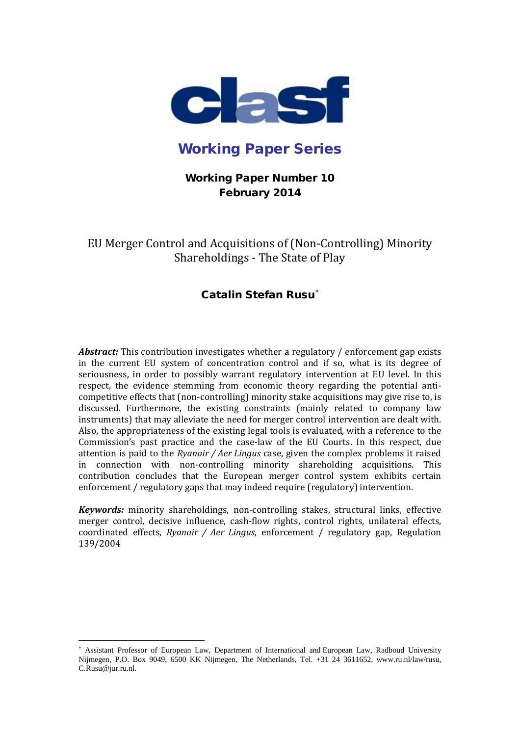

# Working Paper Series

## Working Paper Number 10 February 2014

EU Merger Control and Acquisitions of (Non-Controlling) Minority Shareholdings - The State of Play

## Catalin Stefan Rusu<sup>\*</sup>

*Abstract:* This contribution investigates whether a regulatory / enforcement gap exists in the current EU system of concentration control and if so, what is its degree of seriousness, in order to possibly warrant regulatory intervention at EU level. In this respect, the evidence stemming from economic theory regarding the potential anticompetitive effects that (non-controlling) minority stake acquisitions may give rise to, is discussed. Furthermore, the existing constraints (mainly related to company law instruments) that may alleviate the need for merger control intervention are dealt with. Also, the appropriateness of the existing legal tools is evaluated, with a reference to the Commission's past practice and the case-law of the EU Courts. In this respect, due attention is paid to the *Ryanair / Aer Lingus* case, given the complex problems it raised in connection with non-controlling minority shareholding acquisitions. This contribution concludes that the European merger control system exhibits certain enforcement / regulatory gaps that may indeed require (regulatory) intervention.

*Keywords:* minority shareholdings, non-controlling stakes, structural links, effective merger control, decisive influence, cash-flow rights, control rights, unilateral effects, coordinated effects, *Ryanair / Aer Lingus*, enforcement / regulatory gap, Regulation 139/2004

<span id="page-0-0"></span><sup>∗</sup> Assistant Professor of European Law, Department of International and European Law, Radboud University Nijmegen, P.O. Box 9049, 6500 KK Nijmegen, The Netherlands, Tel. +31 24 3611652, www.ru.nl/law/rusu, C.Rusu@jur.ru.nl. į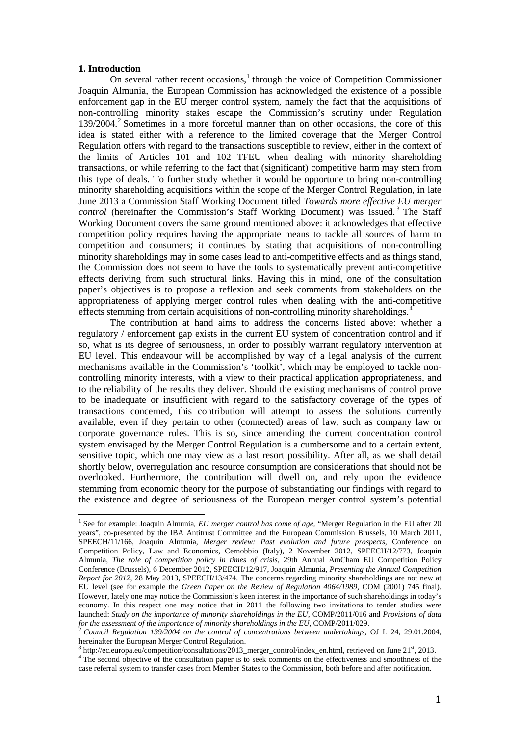#### **1. Introduction**

On several rather recent occasions, $<sup>1</sup>$  $<sup>1</sup>$  $<sup>1</sup>$  through the voice of Competition Commissioner</sup> Joaquin Almunia, the European Commission has acknowledged the existence of a possible enforcement gap in the EU merger control system, namely the fact that the acquisitions of non-controlling minority stakes escape the Commission's scrutiny under Regulation 139/2004. [2](#page-1-1) Sometimes in a more forceful manner than on other occasions, the core of this idea is stated either with a reference to the limited coverage that the Merger Control Regulation offers with regard to the transactions susceptible to review, either in the context of the limits of Articles 101 and 102 TFEU when dealing with minority shareholding transactions, or while referring to the fact that (significant) competitive harm may stem from this type of deals. To further study whether it would be opportune to bring non-controlling minority shareholding acquisitions within the scope of the Merger Control Regulation, in late June 2013 a Commission Staff Working Document titled *Towards more effective EU merger control* (hereinafter the Commission's Staff Working Document) was issued. [3](#page-1-2) The Staff Working Document covers the same ground mentioned above: it acknowledges that effective competition policy requires having the appropriate means to tackle all sources of harm to competition and consumers; it continues by stating that acquisitions of non-controlling minority shareholdings may in some cases lead to anti-competitive effects and as things stand, the Commission does not seem to have the tools to systematically prevent anti-competitive effects deriving from such structural links. Having this in mind, one of the consultation paper's objectives is to propose a reflexion and seek comments from stakeholders on the appropriateness of applying merger control rules when dealing with the anti-competitive effects stemming from certain acquisitions of non-controlling minority shareholdings.<sup>[4](#page-1-3)</sup>

The contribution at hand aims to address the concerns listed above: whether a regulatory / enforcement gap exists in the current EU system of concentration control and if so, what is its degree of seriousness, in order to possibly warrant regulatory intervention at EU level. This endeavour will be accomplished by way of a legal analysis of the current mechanisms available in the Commission's 'toolkit', which may be employed to tackle noncontrolling minority interests, with a view to their practical application appropriateness, and to the reliability of the results they deliver. Should the existing mechanisms of control prove to be inadequate or insufficient with regard to the satisfactory coverage of the types of transactions concerned, this contribution will attempt to assess the solutions currently available, even if they pertain to other (connected) areas of law, such as company law or corporate governance rules. This is so, since amending the current concentration control system envisaged by the Merger Control Regulation is a cumbersome and to a certain extent, sensitive topic, which one may view as a last resort possibility. After all, as we shall detail shortly below, overregulation and resource consumption are considerations that should not be overlooked. Furthermore, the contribution will dwell on, and rely upon the evidence stemming from economic theory for the purpose of substantiating our findings with regard to the existence and degree of seriousness of the European merger control system's potential

<span id="page-1-0"></span><sup>1</sup> See for example: Joaquin Almunia, *EU merger control has come of age*, "Merger Regulation in the EU after 20 years", co-presented by the IBA Antitrust Committee and the European Commission Brussels, 10 March 2011, SPEECH/11/166, Joaquin Almunia, *Merger review: Past evolution and future prospects*, Conference on Competition Policy, Law and Economics, Cernobbio (Italy), 2 November 2012, SPEECH/12/773, Joaquin Almunia, *The role of competition policy in times of crisis*, 29th Annual AmCham EU Competition Policy Conference (Brussels), 6 December 2012, SPEECH/12/917, Joaquin Almunia, *Presenting the Annual Competition Report for 2012*, 28 May 2013, SPEECH/13/474. The concerns regarding minority shareholdings are not new at EU level (see for example the *Green Paper on the Review of Regulation 4064/1989*, COM (2001) 745 final). However, lately one may notice the Commission's keen interest in the importance of such shareholdings in today's economy. In this respect one may notice that in 2011 the following two invitations to tender studies were launched: *Study on the importance of minority shareholdings in the EU,* COMP/2011/016 and *Provisions of data for the assessment of the importance of minority shareholdings in the EU*, COMP/2011/029. <sup>2</sup> *Council Regulation 139/2004 on the control of concentrations between undertakings*, OJ L 24, 29.01.2004,

<span id="page-1-1"></span>hereinafter the European Merger Control Regulation.<br> $3$  http://ec.europa.eu/competition/consultations/2013 merger control/index en.html, retrieved on June 21<sup>st</sup>, 2013.

<span id="page-1-3"></span><span id="page-1-2"></span> $3<sup>4</sup>$  The second objective of the consultation paper is to seek comments on the effectiveness and smoothness of the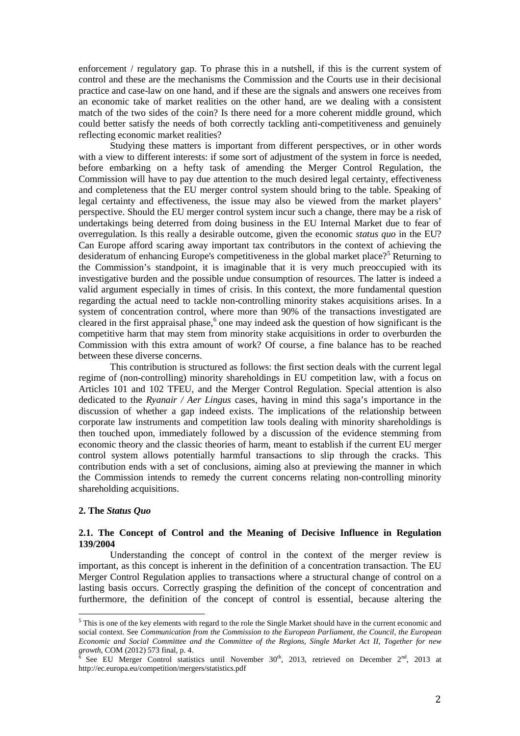enforcement / regulatory gap. To phrase this in a nutshell, if this is the current system of control and these are the mechanisms the Commission and the Courts use in their decisional practice and case-law on one hand, and if these are the signals and answers one receives from an economic take of market realities on the other hand, are we dealing with a consistent match of the two sides of the coin? Is there need for a more coherent middle ground, which could better satisfy the needs of both correctly tackling anti-competitiveness and genuinely reflecting economic market realities?

Studying these matters is important from different perspectives, or in other words with a view to different interests: if some sort of adjustment of the system in force is needed, before embarking on a hefty task of amending the Merger Control Regulation, the Commission will have to pay due attention to the much desired legal certainty, effectiveness and completeness that the EU merger control system should bring to the table. Speaking of legal certainty and effectiveness, the issue may also be viewed from the market players' perspective. Should the EU merger control system incur such a change, there may be a risk of undertakings being deterred from doing business in the EU Internal Market due to fear of overregulation. Is this really a desirable outcome, given the economic *status quo* in the EU? Can Europe afford scaring away important tax contributors in the context of achieving the desideratum of enhancing Europe's competitiveness in the global market place?<sup>[5](#page-2-0)</sup> Returning to the Commission's standpoint, it is imaginable that it is very much preoccupied with its investigative burden and the possible undue consumption of resources. The latter is indeed a valid argument especially in times of crisis. In this context, the more fundamental question regarding the actual need to tackle non-controlling minority stakes acquisitions arises. In a system of concentration control, where more than 90% of the transactions investigated are cleared in the first appraisal phase,<sup>[6](#page-2-1)</sup> one may indeed ask the question of how significant is the competitive harm that may stem from minority stake acquisitions in order to overburden the Commission with this extra amount of work? Of course, a fine balance has to be reached between these diverse concerns.

This contribution is structured as follows: the first section deals with the current legal regime of (non-controlling) minority shareholdings in EU competition law, with a focus on Articles 101 and 102 TFEU, and the Merger Control Regulation. Special attention is also dedicated to the *Ryanair / Aer Lingus* cases, having in mind this saga's importance in the discussion of whether a gap indeed exists. The implications of the relationship between corporate law instruments and competition law tools dealing with minority shareholdings is then touched upon, immediately followed by a discussion of the evidence stemming from economic theory and the classic theories of harm, meant to establish if the current EU merger control system allows potentially harmful transactions to slip through the cracks. This contribution ends with a set of conclusions, aiming also at previewing the manner in which the Commission intends to remedy the current concerns relating non-controlling minority shareholding acquisitions.

## **2. The** *Status Quo*

## **2.1. The Concept of Control and the Meaning of Decisive Influence in Regulation 139/2004**

Understanding the concept of control in the context of the merger review is important, as this concept is inherent in the definition of a concentration transaction. The EU Merger Control Regulation applies to transactions where a structural change of control on a lasting basis occurs. Correctly grasping the definition of the concept of concentration and furthermore, the definition of the concept of control is essential, because altering the

<span id="page-2-0"></span><sup>&</sup>lt;sup>5</sup>This is one of the key elements with regard to the role the Single Market should have in the current economic and social context. See *Communication from the Commission to the European Parliament, the Council, the European Economic and Social Committee and the Committee of the Regions, Single Market Act II, Together for new growth*, COM (2012) 573 final, p. 4.<br><sup>6</sup> See EU Merger Control statistics until November 30<sup>th</sup>, 2013, retrieved on December 2<sup>nd</sup>, 2013 at

<span id="page-2-1"></span>http://ec.europa.eu/competition/mergers/statistics.pdf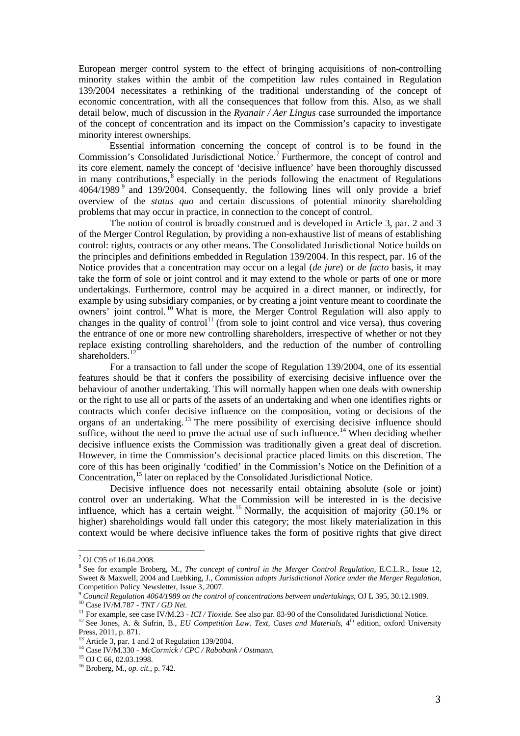European merger control system to the effect of bringing acquisitions of non-controlling minority stakes within the ambit of the competition law rules contained in Regulation 139/2004 necessitates a rethinking of the traditional understanding of the concept of economic concentration, with all the consequences that follow from this. Also, as we shall detail below, much of discussion in the *Ryanair / Aer Lingus* case surrounded the importance of the concept of concentration and its impact on the Commission's capacity to investigate minority interest ownerships.

Essential information concerning the concept of control is to be found in the Commission's Consolidated Jurisdictional Notice.[7](#page-3-0) Furthermore, the concept of control and its core element, namely the concept of 'decisive influence' have been thoroughly discussed in many contributions,  $\delta$  especially in the periods following the enactment of Regulations 4064/1[9](#page-3-2)89<sup>9</sup> and 139/2004. Consequently, the following lines will only provide a brief overview of the *status quo* and certain discussions of potential minority shareholding problems that may occur in practice, in connection to the concept of control.

The notion of control is broadly construed and is developed in Article 3, par. 2 and 3 of the Merger Control Regulation, by providing a non-exhaustive list of means of establishing control: rights, contracts or any other means. The Consolidated Jurisdictional Notice builds on the principles and definitions embedded in Regulation 139/2004. In this respect, par. 16 of the Notice provides that a concentration may occur on a legal (*de jure*) or *de facto* basis, it may take the form of sole or joint control and it may extend to the whole or parts of one or more undertakings. Furthermore, control may be acquired in a direct manner, or indirectly, for example by using subsidiary companies, or by creating a joint venture meant to coordinate the owners' joint control. [10](#page-3-3) What is more, the Merger Control Regulation will also apply to changes in the quality of control<sup>[11](#page-3-4)</sup> (from sole to joint control and vice versa), thus covering the entrance of one or more new controlling shareholders, irrespective of whether or not they replace existing controlling shareholders, and the reduction of the number of controlling shareholders.<sup>[12](#page-3-5)</sup>

For a transaction to fall under the scope of Regulation 139/2004, one of its essential features should be that it confers the possibility of exercising decisive influence over the behaviour of another undertaking. This will normally happen when one deals with ownership or the right to use all or parts of the assets of an undertaking and when one identifies rights or contracts which confer decisive influence on the composition, voting or decisions of the organs of an undertaking. [13](#page-3-6) The mere possibility of exercising decisive influence should suffice, without the need to prove the actual use of such influence.<sup>[14](#page-3-7)</sup> When deciding whether decisive influence exists the Commission was traditionally given a great deal of discretion. However, in time the Commission's decisional practice placed limits on this discretion. The core of this has been originally 'codified' in the Commission's Notice on the Definition of a Concentration,<sup>[15](#page-3-8)</sup> later on replaced by the Consolidated Jurisdictional Notice.

Decisive influence does not necessarily entail obtaining absolute (sole or joint) control over an undertaking. What the Commission will be interested in is the decisive influence, which has a certain weight. [16](#page-3-9) Normally, the acquisition of majority (50.1% or higher) shareholdings would fall under this category; the most likely materialization in this context would be where decisive influence takes the form of positive rights that give direct

 $\frac{7}{1}$  OJ C95 of 16.04.2008.

<span id="page-3-1"></span><span id="page-3-0"></span><sup>8</sup> See for example Broberg, M., *The concept of control in the Merger Control Regulation*, E.C.L.R., Issue 12, Sweet & Maxwell, 2004 and Luebking, J., *Commission adopts Jurisdictional Notice under the Merger Regulation*,

<span id="page-3-2"></span><sup>&</sup>lt;sup>9</sup> Council Regulation 4064/1989 on the control of concentrations between undertakings, OJ L 395, 30.12.1989.<br><sup>10</sup> Case IV/M.787 - *TNT* / *GD Net.*<br><sup>11</sup> For example, see case IV/M.23 - *ICI* / *Tioxide*. See also par. 83

<span id="page-3-4"></span><span id="page-3-3"></span>

<span id="page-3-5"></span>Press, 2011, p. 871.<br><sup>13</sup> Article 3, par. 1 and 2 of Regulation 139/2004.

<span id="page-3-7"></span><span id="page-3-6"></span><sup>14</sup> Case IV/M.330 - *McCormick / CPC / Rabobank / Ostmann.* 15 OJ C 66, 02.03.1998.<br>
<sup>15</sup> OJ C 66, 02.03.1998.<br>
<sup>16</sup> Broberg, M., *op. cit.*, p. 742.

<span id="page-3-8"></span>

<span id="page-3-9"></span>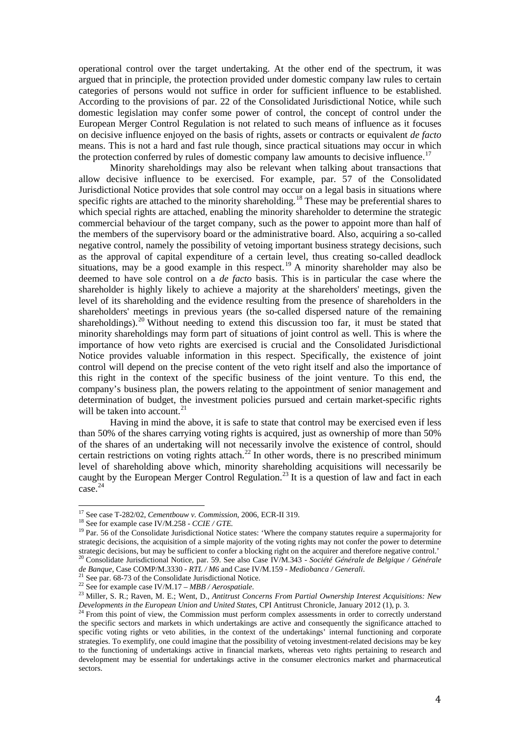operational control over the target undertaking. At the other end of the spectrum, it was argued that in principle, the protection provided under domestic company law rules to certain categories of persons would not suffice in order for sufficient influence to be established. According to the provisions of par. 22 of the Consolidated Jurisdictional Notice, while such domestic legislation may confer some power of control, the concept of control under the European Merger Control Regulation is not related to such means of influence as it focuses on decisive influence enjoyed on the basis of rights, assets or contracts or equivalent *de facto* means. This is not a hard and fast rule though, since practical situations may occur in which the protection conferred by rules of domestic company law amounts to decisive influence.<sup>[17](#page-4-0)</sup>

Minority shareholdings may also be relevant when talking about transactions that allow decisive influence to be exercised. For example, par. 57 of the Consolidated Jurisdictional Notice provides that sole control may occur on a legal basis in situations where specific rights are attached to the minority shareholding.<sup>[18](#page-4-1)</sup> These may be preferential shares to which special rights are attached, enabling the minority shareholder to determine the strategic commercial behaviour of the target company, such as the power to appoint more than half of the members of the supervisory board or the administrative board. Also, acquiring a so-called negative control, namely the possibility of vetoing important business strategy decisions, such as the approval of capital expenditure of a certain level, thus creating so-called deadlock situations, may be a good example in this respect.<sup>[19](#page-4-2)</sup> A minority shareholder may also be deemed to have sole control on a *de facto* basis. This is in particular the case where the shareholder is highly likely to achieve a majority at the shareholders' meetings, given the level of its shareholding and the evidence resulting from the presence of shareholders in the shareholders' meetings in previous years (the so-called dispersed nature of the remaining shareholdings).<sup>[20](#page-4-3)</sup> Without needing to extend this discussion too far, it must be stated that minority shareholdings may form part of situations of joint control as well. This is where the importance of how veto rights are exercised is crucial and the Consolidated Jurisdictional Notice provides valuable information in this respect. Specifically, the existence of joint control will depend on the precise content of the veto right itself and also the importance of this right in the context of the specific business of the joint venture. To this end, the company's business plan, the powers relating to the appointment of senior management and determination of budget, the investment policies pursued and certain market-specific rights will be taken into account.<sup>[21](#page-4-4)</sup>

Having in mind the above, it is safe to state that control may be exercised even if less than 50% of the shares carrying voting rights is acquired, just as ownership of more than 50% of the shares of an undertaking will not necessarily involve the existence of control, should certain restrictions on voting rights attach.<sup>[22](#page-4-5)</sup> In other words, there is no prescribed minimum level of shareholding above which, minority shareholding acquisitions will necessarily be caught by the European Merger Control Regulation.<sup>[23](#page-4-6)</sup> It is a question of law and fact in each  $\csc^{24}$  $\csc^{24}$  $\csc^{24}$ 

 $17$  See case T-282/02, Cementbouw v. Commission, 2006, ECR-II 319.

<span id="page-4-2"></span><span id="page-4-1"></span><span id="page-4-0"></span><sup>&</sup>lt;sup>18</sup> See for example case IV/M.258 - *CCIE/GTE*.<br><sup>19</sup> Par. 56 of the Consolidate Jurisdictional Notice states: 'Where the company statutes require a supermajority for strategic decisions, the acquisition of a simple majority of the voting rights may not confer the power to determine strategic decisions, but may be sufficient to confer a blocking right on the acquirer and therefore negative control.<br><sup>20</sup> Consolidate Jurisdictional Notice, par. 59. See also Case IV/M.343 - *Société Générale de Belgique* 

<span id="page-4-3"></span>

<span id="page-4-6"></span>

<span id="page-4-5"></span><span id="page-4-4"></span><sup>&</sup>lt;sup>21</sup> See par. 68-73 of the Consolidate Jurisdictional Notice.<br><sup>22</sup> See for example case IV/M.17 – *MBB* / Aerospatiale.<br><sup>23</sup> Miller, S. R.; Raven, M. E.; Went, D., Antitrust Concerns From Partial Ownership Interest Acquis *Developments in the European Union and United States*, CPI Antitrust Chronicle, January 2012 (1), p. 3.<br><sup>24</sup> From this point of view, the Commission must perform complex assessments in order to correctly understand

<span id="page-4-7"></span>the specific sectors and markets in which undertakings are active and consequently the significance attached to specific voting rights or veto abilities, in the context of the undertakings' internal functioning and corporate strategies. To exemplify, one could imagine that the possibility of vetoing investment-related decisions may be key to the functioning of undertakings active in financial markets, whereas veto rights pertaining to research and development may be essential for undertakings active in the consumer electronics market and pharmaceutical sectors.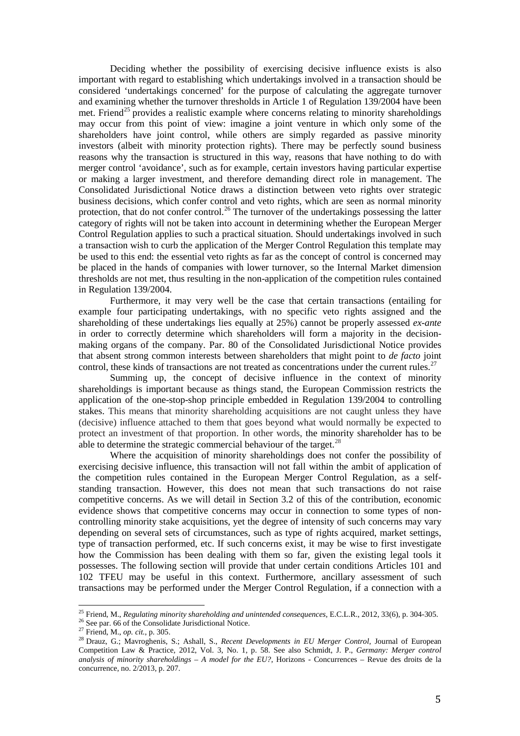Deciding whether the possibility of exercising decisive influence exists is also important with regard to establishing which undertakings involved in a transaction should be considered 'undertakings concerned' for the purpose of calculating the aggregate turnover and examining whether the turnover thresholds in Article 1 of Regulation 139/2004 have been met. Friend<sup>[25](#page-5-0)</sup> provides a realistic example where concerns relating to minority shareholdings may occur from this point of view: imagine a joint venture in which only some of the shareholders have joint control, while others are simply regarded as passive minority investors (albeit with minority protection rights). There may be perfectly sound business reasons why the transaction is structured in this way, reasons that have nothing to do with merger control 'avoidance', such as for example, certain investors having particular expertise or making a larger investment, and therefore demanding direct role in management. The Consolidated Jurisdictional Notice draws a distinction between veto rights over strategic business decisions, which confer control and veto rights, which are seen as normal minority protection, that do not confer control.<sup>[26](#page-5-1)</sup> The turnover of the undertakings possessing the latter category of rights will not be taken into account in determining whether the European Merger Control Regulation applies to such a practical situation. Should undertakings involved in such a transaction wish to curb the application of the Merger Control Regulation this template may be used to this end: the essential veto rights as far as the concept of control is concerned may be placed in the hands of companies with lower turnover, so the Internal Market dimension thresholds are not met, thus resulting in the non-application of the competition rules contained in Regulation 139/2004.

Furthermore, it may very well be the case that certain transactions (entailing for example four participating undertakings, with no specific veto rights assigned and the shareholding of these undertakings lies equally at 25%) cannot be properly assessed *ex-ante* in order to correctly determine which shareholders will form a majority in the decisionmaking organs of the company. Par. 80 of the Consolidated Jurisdictional Notice provides that absent strong common interests between shareholders that might point to *de facto* joint control, these kinds of transactions are not treated as concentrations under the current rules.<sup>[27](#page-5-2)</sup>

Summing up, the concept of decisive influence in the context of minority shareholdings is important because as things stand, the European Commission restricts the application of the one-stop-shop principle embedded in Regulation 139/2004 to controlling stakes. This means that minority shareholding acquisitions are not caught unless they have (decisive) influence attached to them that goes beyond what would normally be expected to protect an investment of that proportion. In other words, the minority shareholder has to be able to determine the strategic commercial behaviour of the target.<sup>[28](#page-5-3)</sup>

Where the acquisition of minority shareholdings does not confer the possibility of exercising decisive influence, this transaction will not fall within the ambit of application of the competition rules contained in the European Merger Control Regulation, as a selfstanding transaction. However, this does not mean that such transactions do not raise competitive concerns. As we will detail in Section 3.2 of this of the contribution, economic evidence shows that competitive concerns may occur in connection to some types of noncontrolling minority stake acquisitions, yet the degree of intensity of such concerns may vary depending on several sets of circumstances, such as type of rights acquired, market settings, type of transaction performed, etc. If such concerns exist, it may be wise to first investigate how the Commission has been dealing with them so far, given the existing legal tools it possesses. The following section will provide that under certain conditions Articles 101 and 102 TFEU may be useful in this context. Furthermore, ancillary assessment of such transactions may be performed under the Merger Control Regulation, if a connection with a

<span id="page-5-0"></span><sup>&</sup>lt;sup>25</sup> Friend, M., Regulating minority shareholding and unintended consequences, E.C.L.R., 2012, 33(6), p. 304-305.

<span id="page-5-2"></span>

<span id="page-5-3"></span>

<span id="page-5-1"></span><sup>&</sup>lt;sup>26</sup> See par. 66 of the Consolidate Jurisdictional Notice.<br><sup>27</sup> Friend, M., *op. cit.*, p. 305.<br><sup>28</sup> Drauz, G.; Mavroghenis, S.; Ashall, S., *Recent Developments in EU Merger Control*, Journal of European Competition Law & Practice, 2012, Vol. 3, No. 1, p. 58. See also Schmidt, J. P., *Germany: Merger control analysis of minority shareholdings – A model for the EU?*, Horizons - Concurrences – Revue des droits de la concurrence, no. 2/2013, p. 207.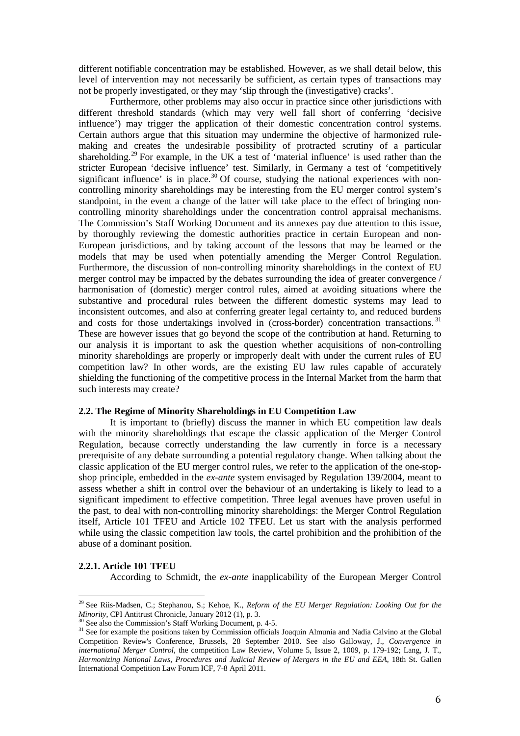different notifiable concentration may be established. However, as we shall detail below, this level of intervention may not necessarily be sufficient, as certain types of transactions may not be properly investigated, or they may 'slip through the (investigative) cracks'.

Furthermore, other problems may also occur in practice since other jurisdictions with different threshold standards (which may very well fall short of conferring 'decisive influence') may trigger the application of their domestic concentration control systems. Certain authors argue that this situation may undermine the objective of harmonized rulemaking and creates the undesirable possibility of protracted scrutiny of a particular shareholding.<sup>[29](#page-6-0)</sup> For example, in the UK a test of 'material influence' is used rather than the stricter European 'decisive influence' test. Similarly, in Germany a test of 'competitively significant influence' is in place.<sup>[30](#page-6-1)</sup> Of course, studying the national experiences with noncontrolling minority shareholdings may be interesting from the EU merger control system's standpoint, in the event a change of the latter will take place to the effect of bringing noncontrolling minority shareholdings under the concentration control appraisal mechanisms. The Commission's Staff Working Document and its annexes pay due attention to this issue, by thoroughly reviewing the domestic authorities practice in certain European and non-European jurisdictions, and by taking account of the lessons that may be learned or the models that may be used when potentially amending the Merger Control Regulation. Furthermore, the discussion of non-controlling minority shareholdings in the context of EU merger control may be impacted by the debates surrounding the idea of greater convergence / harmonisation of (domestic) merger control rules, aimed at avoiding situations where the substantive and procedural rules between the different domestic systems may lead to inconsistent outcomes, and also at conferring greater legal certainty to, and reduced burdens and costs for those undertakings involved in (cross-border) concentration transactions.<sup>[31](#page-6-2)</sup> These are however issues that go beyond the scope of the contribution at hand. Returning to our analysis it is important to ask the question whether acquisitions of non-controlling minority shareholdings are properly or improperly dealt with under the current rules of EU competition law? In other words, are the existing EU law rules capable of accurately shielding the functioning of the competitive process in the Internal Market from the harm that such interests may create?

## **2.2. The Regime of Minority Shareholdings in EU Competition Law**

It is important to (briefly) discuss the manner in which EU competition law deals with the minority shareholdings that escape the classic application of the Merger Control Regulation, because correctly understanding the law currently in force is a necessary prerequisite of any debate surrounding a potential regulatory change. When talking about the classic application of the EU merger control rules, we refer to the application of the one-stopshop principle, embedded in the *ex-ante* system envisaged by Regulation 139/2004, meant to assess whether a shift in control over the behaviour of an undertaking is likely to lead to a significant impediment to effective competition. Three legal avenues have proven useful in the past, to deal with non-controlling minority shareholdings: the Merger Control Regulation itself, Article 101 TFEU and Article 102 TFEU. Let us start with the analysis performed while using the classic competition law tools, the cartel prohibition and the prohibition of the abuse of a dominant position.

#### **2.2.1. Article 101 TFEU**

According to Schmidt, the *ex-ante* inapplicability of the European Merger Control

<span id="page-6-0"></span><sup>29</sup> See Riis-Madsen, C.; Stephanou, S.; Kehoe, K., *Reform of the EU Merger Regulation: Looking Out for the Minority*, CPI Antitrust Chronicle, January 2012 (1), p. 3.<br><sup>30</sup> See also the Commission's Staff Working Document, p. 4-5.<br><sup>31</sup> See for example the positions taken by Commission officials Joaquin Almunia and Nadia Calvin

<span id="page-6-1"></span>

<span id="page-6-2"></span>Competition Review's Conference, Brussels, 28 September 2010. See also Galloway, J., *Convergence in international Merger Control,* the competition Law Review, Volume 5, Issue 2, 1009, p. 179-192; Lang, J. T., *Harmonizing National Laws, Procedures and Judicial Review of Mergers in the EU and EEA*, 18th St. Gallen International Competition Law Forum ICF, 7-8 April 2011.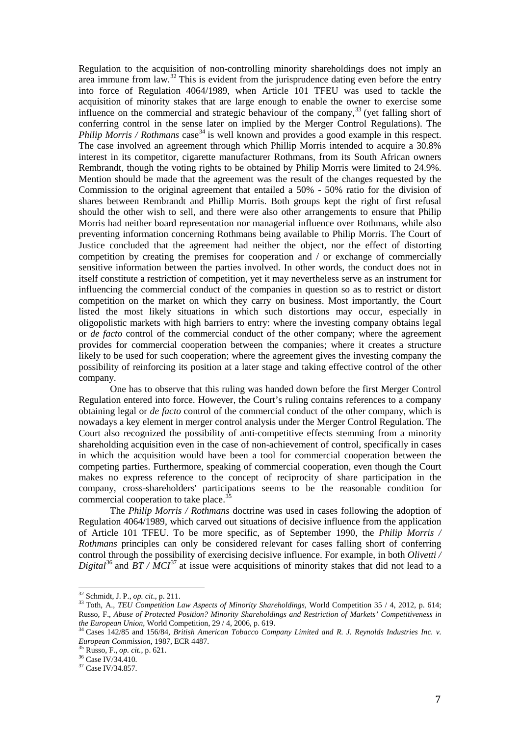Regulation to the acquisition of non-controlling minority shareholdings does not imply an area immune from law.[32](#page-7-0) This is evident from the jurisprudence dating even before the entry into force of Regulation 4064/1989, when Article 101 TFEU was used to tackle the acquisition of minority stakes that are large enough to enable the owner to exercise some influence on the commercial and strategic behaviour of the company,  $33$  (yet falling short of conferring control in the sense later on implied by the Merger Control Regulations). The *Philip Morris / Rothmans* case<sup>[34](#page-7-2)</sup> is well known and provides a good example in this respect. The case involved an agreement through which Phillip Morris intended to acquire a 30.8% interest in its competitor, cigarette manufacturer Rothmans, from its South African owners Rembrandt, though the voting rights to be obtained by Philip Morris were limited to 24.9%. Mention should be made that the agreement was the result of the changes requested by the Commission to the original agreement that entailed a 50% - 50% ratio for the division of shares between Rembrandt and Phillip Morris. Both groups kept the right of first refusal should the other wish to sell, and there were also other arrangements to ensure that Philip Morris had neither board representation nor managerial influence over Rothmans, while also preventing information concerning Rothmans being available to Philip Morris. The Court of Justice concluded that the agreement had neither the object, nor the effect of distorting competition by creating the premises for cooperation and / or exchange of commercially sensitive information between the parties involved. In other words, the conduct does not in itself constitute a restriction of competition, yet it may nevertheless serve as an instrument for influencing the commercial conduct of the companies in question so as to restrict or distort competition on the market on which they carry on business. Most importantly, the Court listed the most likely situations in which such distortions may occur, especially in oligopolistic markets with high barriers to entry: where the investing company obtains legal or *de facto* control of the commercial conduct of the other company; where the agreement provides for commercial cooperation between the companies; where it creates a structure likely to be used for such cooperation; where the agreement gives the investing company the possibility of reinforcing its position at a later stage and taking effective control of the other company.

One has to observe that this ruling was handed down before the first Merger Control Regulation entered into force. However, the Court's ruling contains references to a company obtaining legal or *de facto* control of the commercial conduct of the other company, which is nowadays a key element in merger control analysis under the Merger Control Regulation. The Court also recognized the possibility of anti-competitive effects stemming from a minority shareholding acquisition even in the case of non-achievement of control, specifically in cases in which the acquisition would have been a tool for commercial cooperation between the competing parties. Furthermore, speaking of commercial cooperation, even though the Court makes no express reference to the concept of reciprocity of share participation in the company, cross-shareholders' participations seems to be the reasonable condition for commercial cooperation to take place.<sup>[35](#page-7-3)</sup>

The *Philip Morris / Rothmans* doctrine was used in cases following the adoption of Regulation 4064/1989, which carved out situations of decisive influence from the application of Article 101 TFEU. To be more specific, as of September 1990, the *Philip Morris / Rothmans* principles can only be considered relevant for cases falling short of conferring control through the possibility of exercising decisive influence. For example, in both *Olivetti / Digital*<sup>[36](#page-7-4)</sup> and *BT / MCI*<sup>[37](#page-7-5)</sup> at issue were acquisitions of minority stakes that did not lead to a

<sup>&</sup>lt;sup>32</sup> Schmidt, J. P., op. cit., p. 211.

<span id="page-7-1"></span><span id="page-7-0"></span><sup>&</sup>lt;sup>33</sup> Toth, A., *TEU Competition Law Aspects of Minority Shareholdings*, World Competition 35 / 4, 2012, p. 614; Russo, F., *Abuse of Protected Position? Minority Shareholdings and Restriction of Markets' Competitiveness in the European Union*, World Competition, 29 / 4, 2006, p. 619.<br><sup>34</sup> Cases 142/85 and 156/84, *British American Tobacco Company Limited and R. J. Reynolds Industries Inc. v.* 

<span id="page-7-3"></span><span id="page-7-2"></span>*European Commission*, 1987, ECR 4487.<br><sup>35</sup> Russo, F., *op. cit.*, p. 621.<br><sup>36</sup> Case IV/34.410.<br><sup>37</sup> Case IV/34.857.

<span id="page-7-4"></span>

<span id="page-7-5"></span>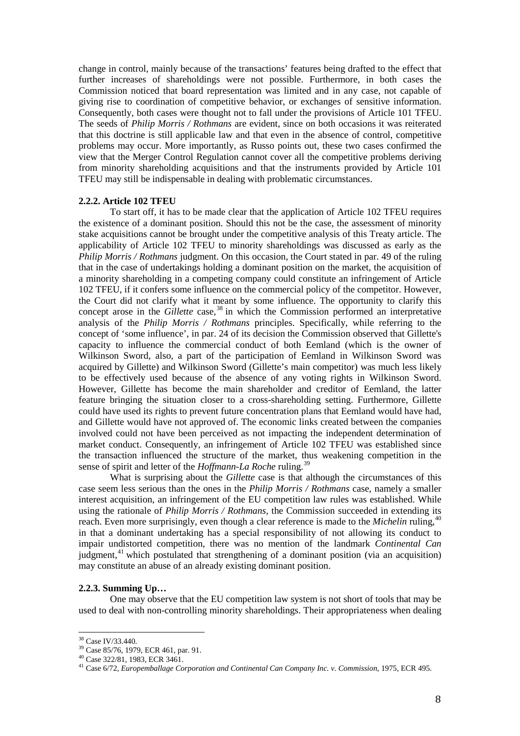change in control, mainly because of the transactions' features being drafted to the effect that further increases of shareholdings were not possible. Furthermore, in both cases the Commission noticed that board representation was limited and in any case, not capable of giving rise to coordination of competitive behavior, or exchanges of sensitive information. Consequently, both cases were thought not to fall under the provisions of Article 101 TFEU. The seeds of *Philip Morris / Rothmans* are evident, since on both occasions it was reiterated that this doctrine is still applicable law and that even in the absence of control, competitive problems may occur. More importantly, as Russo points out, these two cases confirmed the view that the Merger Control Regulation cannot cover all the competitive problems deriving from minority shareholding acquisitions and that the instruments provided by Article 101 TFEU may still be indispensable in dealing with problematic circumstances.

#### **2.2.2. Article 102 TFEU**

To start off, it has to be made clear that the application of Article 102 TFEU requires the existence of a dominant position. Should this not be the case, the assessment of minority stake acquisitions cannot be brought under the competitive analysis of this Treaty article. The applicability of Article 102 TFEU to minority shareholdings was discussed as early as the *Philip Morris / Rothmans* judgment. On this occasion, the Court stated in par. 49 of the ruling that in the case of undertakings holding a dominant position on the market, the acquisition of a minority shareholding in a competing company could constitute an infringement of Article 102 TFEU, if it confers some influence on the commercial policy of the competitor. However, the Court did not clarify what it meant by some influence. The opportunity to clarify this concept arose in the *Gillette* case,<sup>[38](#page-8-0)</sup> in which the Commission performed an interpretative analysis of the *Philip Morris / Rothmans* principles. Specifically, while referring to the concept of 'some influence', in par. 24 of its decision the Commission observed that Gillette's capacity to influence the commercial conduct of both Eemland (which is the owner of Wilkinson Sword, also, a part of the participation of Eemland in Wilkinson Sword was acquired by Gillette) and Wilkinson Sword (Gillette's main competitor) was much less likely to be effectively used because of the absence of any voting rights in Wilkinson Sword. However, Gillette has become the main shareholder and creditor of Eemland, the latter feature bringing the situation closer to a cross-shareholding setting. Furthermore, Gillette could have used its rights to prevent future concentration plans that Eemland would have had, and Gillette would have not approved of. The economic links created between the companies involved could not have been perceived as not impacting the independent determination of market conduct. Consequently, an infringement of Article 102 TFEU was established since the transaction influenced the structure of the market, thus weakening competition in the sense of spirit and letter of the *Hoffmann-La Roche* ruling.[39](#page-8-1)

What is surprising about the *Gillette* case is that although the circumstances of this case seem less serious than the ones in the *Philip Morris / Rothmans* case, namely a smaller interest acquisition, an infringement of the EU competition law rules was established. While using the rationale of *Philip Morris / Rothmans*, the Commission succeeded in extending its reach. Even more surprisingly, even though a clear reference is made to the *Michelin* ruling,[40](#page-8-2) in that a dominant undertaking has a special responsibility of not allowing its conduct to impair undistorted competition, there was no mention of the landmark *Continental Can*  judgment,<sup>[41](#page-8-3)</sup> which postulated that strengthening of a dominant position (via an acquisition) may constitute an abuse of an already existing dominant position.

#### **2.2.3. Summing Up…**

One may observe that the EU competition law system is not short of tools that may be used to deal with non-controlling minority shareholdings. Their appropriateness when dealing

<span id="page-8-0"></span><sup>&</sup>lt;sup>38</sup> Case IV/33.440.

<span id="page-8-3"></span><span id="page-8-2"></span>

<span id="page-8-1"></span><sup>&</sup>lt;sup>39</sup> Case 85/76, 1979, ECR 461, par. 91.<br><sup>40</sup> Case 322/81, 1983, ECR 3461.<br><sup>41</sup> Case 6/72, *Europemballage Corporation and Continental Can Company Inc. v. Commission*, 1975, ECR 495.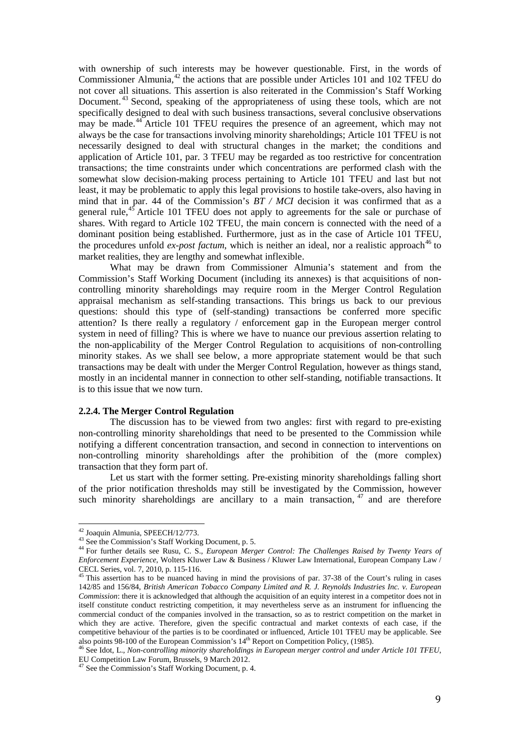with ownership of such interests may be however questionable. First, in the words of Commissioner Almunia,<sup>[42](#page-9-0)</sup> the actions that are possible under Articles 101 and 102 TFEU do not cover all situations. This assertion is also reiterated in the Commission's Staff Working Document.<sup>[43](#page-9-1)</sup> Second, speaking of the appropriateness of using these tools, which are not specifically designed to deal with such business transactions, several conclusive observations may be made.<sup>[44](#page-9-2)</sup> Article 101 TFEU requires the presence of an agreement, which may not always be the case for transactions involving minority shareholdings; Article 101 TFEU is not necessarily designed to deal with structural changes in the market; the conditions and application of Article 101, par. 3 TFEU may be regarded as too restrictive for concentration transactions; the time constraints under which concentrations are performed clash with the somewhat slow decision-making process pertaining to Article 101 TFEU and last but not least, it may be problematic to apply this legal provisions to hostile take-overs, also having in mind that in par. 44 of the Commission's *BT / MCI* decision it was confirmed that as a general rule,<sup>[45](#page-9-3)</sup> Article 101 TFEU does not apply to agreements for the sale or purchase of shares. With regard to Article 102 TFEU, the main concern is connected with the need of a dominant position being established. Furthermore, just as in the case of Article 101 TFEU, the procedures unfold  $ex\text{-}post$  *factum*, which is neither an ideal, nor a realistic approach<sup>[46](#page-9-4)</sup> to market realities, they are lengthy and somewhat inflexible.

What may be drawn from Commissioner Almunia's statement and from the Commission's Staff Working Document (including its annexes) is that acquisitions of noncontrolling minority shareholdings may require room in the Merger Control Regulation appraisal mechanism as self-standing transactions. This brings us back to our previous questions: should this type of (self-standing) transactions be conferred more specific attention? Is there really a regulatory / enforcement gap in the European merger control system in need of filling? This is where we have to nuance our previous assertion relating to the non-applicability of the Merger Control Regulation to acquisitions of non-controlling minority stakes. As we shall see below, a more appropriate statement would be that such transactions may be dealt with under the Merger Control Regulation, however as things stand, mostly in an incidental manner in connection to other self-standing, notifiable transactions. It is to this issue that we now turn.

#### **2.2.4. The Merger Control Regulation**

The discussion has to be viewed from two angles: first with regard to pre-existing non-controlling minority shareholdings that need to be presented to the Commission while notifying a different concentration transaction, and second in connection to interventions on non-controlling minority shareholdings after the prohibition of the (more complex) transaction that they form part of.

Let us start with the former setting. Pre-existing minority shareholdings falling short of the prior notification thresholds may still be investigated by the Commission, however such minority shareholdings are ancillary to a main transaction,  $47$  and are therefore

<span id="page-9-0"></span><sup>&</sup>lt;sup>42</sup> Joaquin Almunia, SPEECH/12/773.

<span id="page-9-2"></span><span id="page-9-1"></span><sup>43</sup> See the Commission's Staff Working Document, p. 5.<br><sup>44</sup> See the Commission's Staff Working Document, p. 5. *44* For further details see Rusu, C. S., *European Merger Control: The Challenges Raised by Twenty Years of Enforcement Experience*, Wolters Kluwer Law & Business / Kluwer Law International, European Company Law /

<span id="page-9-3"></span><sup>&</sup>lt;sup>45</sup> This assertion has to be nuanced having in mind the provisions of par. 37-38 of the Court's ruling in cases 142/85 and 156/84, *British American Tobacco Company Limited and R. J. Reynolds Industries Inc. v. European Commission*: there it is acknowledged that although the acquisition of an equity interest in a competitor does not in itself constitute conduct restricting competition, it may nevertheless serve as an instrument for influencing the commercial conduct of the companies involved in the transaction, so as to restrict competition on the market in which they are active. Therefore, given the specific contractual and market contexts of each case, if the competitive behaviour of the parties is to be coordinated or influenced, Article 101 TFEU may be applicable. See also points 98-100 of the European Commission's 14<sup>th</sup> Report on Competition Policy, (1985).<br><sup>46</sup> See Idot, L., *Non-controlling minority shareholdings in European merger control and under Article 101 TFEU*,

<span id="page-9-4"></span>EU Competition Law Forum, Brussels, 9 March 2012.

<span id="page-9-5"></span><sup>47</sup> See the Commission's Staff Working Document, p. 4.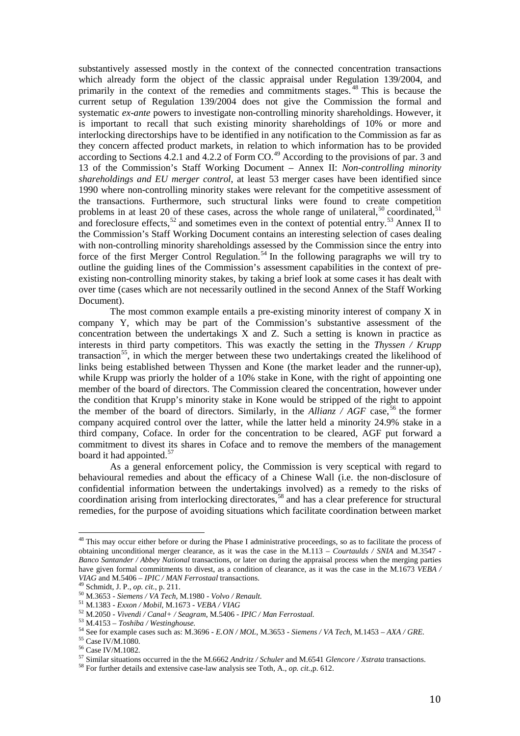substantively assessed mostly in the context of the connected concentration transactions which already form the object of the classic appraisal under Regulation 139/2004, and primarily in the context of the remedies and commitments stages. [48](#page-10-0) This is because the current setup of Regulation 139/2004 does not give the Commission the formal and systematic *ex-ante* powers to investigate non-controlling minority shareholdings. However, it is important to recall that such existing minority shareholdings of 10% or more and interlocking directorships have to be identified in any notification to the Commission as far as they concern affected product markets, in relation to which information has to be provided according to Sections 4.2.1 and 4.2.2 of Form  $CO$ .<sup>[49](#page-10-1)</sup> According to the provisions of par. 3 and 13 of the Commission's Staff Working Document – Annex II: *Non-controlling minority shareholdings and EU merger control*, at least 53 merger cases have been identified since 1990 where non-controlling minority stakes were relevant for the competitive assessment of the transactions. Furthermore, such structural links were found to create competition problems in at least 20 of these cases, across the whole range of unilateral,<sup>[50](#page-10-2)</sup> coordinated,<sup>[51](#page-10-3)</sup> and foreclosure effects,<sup>[52](#page-10-4)</sup> and sometimes even in the context of potential entry.<sup>[53](#page-10-5)</sup> Annex II to the Commission's Staff Working Document contains an interesting selection of cases dealing with non-controlling minority shareholdings assessed by the Commission since the entry into force of the first Merger Control Regulation.<sup>[54](#page-10-6)</sup> In the following paragraphs we will try to outline the guiding lines of the Commission's assessment capabilities in the context of preexisting non-controlling minority stakes, by taking a brief look at some cases it has dealt with over time (cases which are not necessarily outlined in the second Annex of the Staff Working Document).

The most common example entails a pre-existing minority interest of company X in company Y, which may be part of the Commission's substantive assessment of the concentration between the undertakings X and Z. Such a setting is known in practice as interests in third party competitors. This was exactly the setting in the *Thyssen / Krupp*  transaction<sup>55</sup>, in which the merger between these two undertakings created the likelihood of links being established between Thyssen and Kone (the market leader and the runner-up), while Krupp was priorly the holder of a 10% stake in Kone, with the right of appointing one member of the board of directors. The Commission cleared the concentration, however under the condition that Krupp's minority stake in Kone would be stripped of the right to appoint the member of the board of directors. Similarly, in the *Allianz / AGF* case,  $^{56}$  $^{56}$  $^{56}$  the former company acquired control over the latter, while the latter held a minority 24.9% stake in a third company, Coface. In order for the concentration to be cleared, AGF put forward a commitment to divest its shares in Coface and to remove the members of the management board it had appointed.<sup>[57](#page-10-9)</sup>

As a general enforcement policy, the Commission is very sceptical with regard to behavioural remedies and about the efficacy of a Chinese Wall (i.e. the non-disclosure of confidential information between the undertakings involved) as a remedy to the risks of coordination arising from interlocking directorates, [58](#page-10-10) and has a clear preference for structural remedies, for the purpose of avoiding situations which facilitate coordination between market

<span id="page-10-0"></span><sup>&</sup>lt;sup>48</sup> This may occur either before or during the Phase I administrative proceedings, so as to facilitate the process of obtaining unconditional merger clearance, as it was the case in the M.113 – *Courtaulds / SNIA* and M.3547 - *Banco Santander / Abbey National* transactions, or later on during the appraisal process when the merging parties have given formal commitments to divest, as a condition of clearance, as it was the case in the M.1673 *VEBA / VIAG* and M.5406 – *IPIC* / *MAN Ferrostaal* transactions.

<span id="page-10-3"></span>

<span id="page-10-5"></span><span id="page-10-4"></span>

<span id="page-10-6"></span>

<span id="page-10-2"></span><span id="page-10-1"></span><sup>&</sup>lt;sup>49</sup> Schmidt, J. P., op. cit., p. 211.<br>
<sup>50</sup> M.3653 - *Siemens / VA Tech*, M.1980 - *Volvo / Renault.*<br>
<sup>51</sup> M.1383 - *Exxon / Mobil*, M.1673 - *VEBA / VIAG*<br>
<sup>52</sup> M.2050 - *Vivendi / Canal+ / Seagram*, M.5406 - *IPIC / M* 

<span id="page-10-8"></span><span id="page-10-7"></span>

<span id="page-10-10"></span><span id="page-10-9"></span>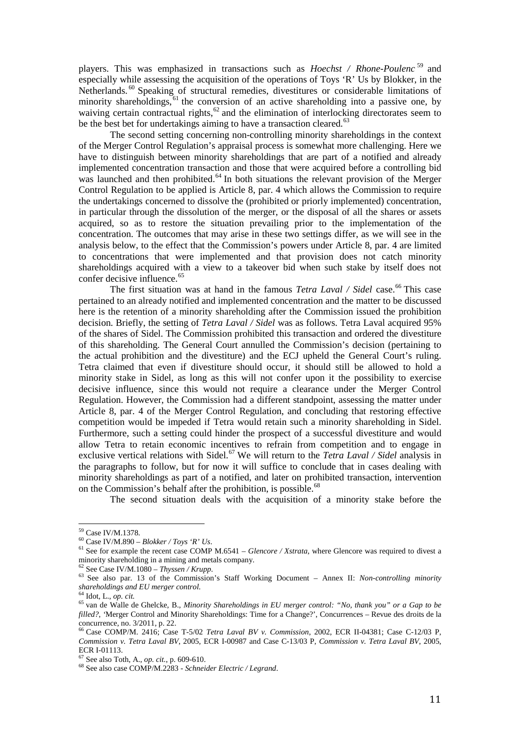players. This was emphasized in transactions such as *Hoechst / Rhone-Poulenc* [59](#page-11-0) and especially while assessing the acquisition of the operations of Toys 'R' Us by Blokker, in the Netherlands.<sup>[60](#page-11-1)</sup> Speaking of structural remedies, divestitures or considerable limitations of minority shareholdings, <sup>[61](#page-11-2)</sup> the conversion of an active shareholding into a passive one, by waiving certain contractual rights, $62$  and the elimination of interlocking directorates seem to be the best bet for undertakings aiming to have a transaction cleared.<sup>[63](#page-11-4)</sup>

The second setting concerning non-controlling minority shareholdings in the context of the Merger Control Regulation's appraisal process is somewhat more challenging. Here we have to distinguish between minority shareholdings that are part of a notified and already implemented concentration transaction and those that were acquired before a controlling bid was launched and then prohibited.<sup>[64](#page-11-5)</sup> In both situations the relevant provision of the Merger Control Regulation to be applied is Article 8, par. 4 which allows the Commission to require the undertakings concerned to dissolve the (prohibited or priorly implemented) concentration, in particular through the dissolution of the merger, or the disposal of all the shares or assets acquired, so as to restore the situation prevailing prior to the implementation of the concentration. The outcomes that may arise in these two settings differ, as we will see in the analysis below, to the effect that the Commission's powers under Article 8, par. 4 are limited to concentrations that were implemented and that provision does not catch minority shareholdings acquired with a view to a takeover bid when such stake by itself does not confer decisive influence.<sup>[65](#page-11-6)</sup>

The first situation was at hand in the famous *Tetra Laval / Sidel* case. [66](#page-11-7) This case pertained to an already notified and implemented concentration and the matter to be discussed here is the retention of a minority shareholding after the Commission issued the prohibition decision. Briefly, the setting of *Tetra Laval / Sidel* was as follows. Tetra Laval acquired 95% of the shares of Sidel. The Commission prohibited this transaction and ordered the divestiture of this shareholding. The General Court annulled the Commission's decision (pertaining to the actual prohibition and the divestiture) and the ECJ upheld the General Court's ruling. Tetra claimed that even if divestiture should occur, it should still be allowed to hold a minority stake in Sidel, as long as this will not confer upon it the possibility to exercise decisive influence, since this would not require a clearance under the Merger Control Regulation. However, the Commission had a different standpoint, assessing the matter under Article 8, par. 4 of the Merger Control Regulation, and concluding that restoring effective competition would be impeded if Tetra would retain such a minority shareholding in Sidel. Furthermore, such a setting could hinder the prospect of a successful divestiture and would allow Tetra to retain economic incentives to refrain from competition and to engage in exclusive vertical relations with Sidel. [67](#page-11-8) We will return to the *Tetra Laval / Sidel* analysis in the paragraphs to follow, but for now it will suffice to conclude that in cases dealing with minority shareholdings as part of a notified, and later on prohibited transaction, intervention on the Commission's behalf after the prohibition, is possible.<sup>[68](#page-11-9)</sup>

The second situation deals with the acquisition of a minority stake before the

<span id="page-11-0"></span><sup>&</sup>lt;sup>59</sup> Case IV/M.1378.

<span id="page-11-2"></span><span id="page-11-1"></span><sup>&</sup>lt;sup>60</sup> Case IV/M.890 – *Blokker / Toys 'R' Us*.<br><sup>61</sup> See for example the recent case COMP M.6541 – *Glencore / Xstrata*, where Glencore was required to divest a minority shareholding in a mining and metals company.

<span id="page-11-4"></span><span id="page-11-3"></span>minority shareholding in a mining and metals company. <sup>62</sup> See Case IV/M.1080 – *Thyssen / Krupp*. <sup>63</sup> See also par. 13 of the Commission's Staff Working Document – Annex II: *Non-controlling minority shareholdings and EU merger control.*<sup>64</sup> Idot I can site

<span id="page-11-6"></span><span id="page-11-5"></span><sup>&</sup>lt;sup>64</sup> Idot, L., *op. cit.*<br><sup>65</sup> van de Walle de Ghelcke, B., *Minority Shareholdings in EU merger control: "No, thank you" or a Gap to be filled?*, *'*Merger Control and Minority Shareholdings: Time for a Change?', Concurrences – Revue des droits de la concurrence, no. 3/2011, p. 22.

<span id="page-11-7"></span><sup>66</sup> Case COMP/M. 2416; Case T-5/02 *Tetra Laval BV v. Commission*, 2002, ECR II-04381; Case C-12/03 P, *Commission v. Tetra Laval BV*, 2005, ECR I-00987 and Case C-13/03 P, *Commission v. Tetra Laval BV*, 2005,

<span id="page-11-9"></span><span id="page-11-8"></span>ECR I-01113. <sup>67</sup> See also Toth, A., *op. cit.*, p. 609-610. <sup>68</sup> See also case COMP/M.2283 - *Schneider Electric / Legrand*.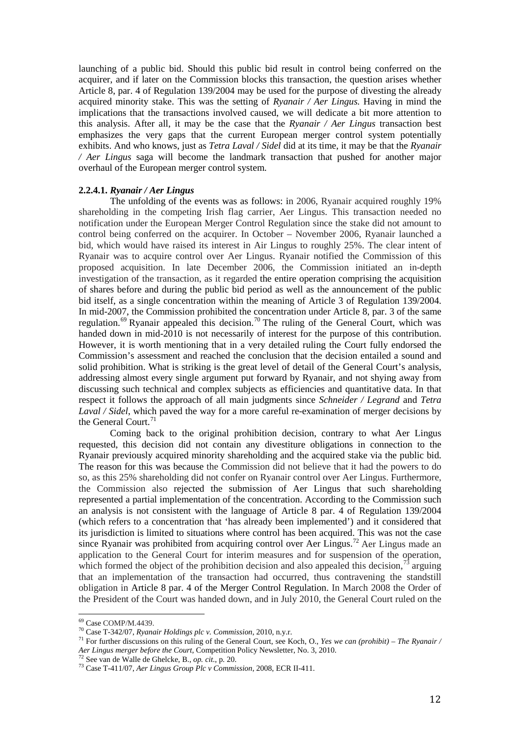launching of a public bid. Should this public bid result in control being conferred on the acquirer, and if later on the Commission blocks this transaction, the question arises whether Article 8, par. 4 of Regulation 139/2004 may be used for the purpose of divesting the already acquired minority stake. This was the setting of *Ryanair / Aer Lingus.* Having in mind the implications that the transactions involved caused, we will dedicate a bit more attention to this analysis. After all, it may be the case that the *Ryanair / Aer Lingus* transaction best emphasizes the very gaps that the current European merger control system potentially exhibits. And who knows, just as *Tetra Laval / Sidel* did at its time, it may be that the *Ryanair / Aer Lingus* saga will become the landmark transaction that pushed for another major overhaul of the European merger control system.

## **2.2.4.1.** *Ryanair / Aer Lingus*

The unfolding of the events was as follows: in 2006, Ryanair acquired roughly 19% shareholding in the competing Irish flag carrier, Aer Lingus. This transaction needed no notification under the European Merger Control Regulation since the stake did not amount to control being conferred on the acquirer. In October – November 2006, Ryanair launched a bid, which would have raised its interest in Air Lingus to roughly 25%. The clear intent of Ryanair was to acquire control over Aer Lingus. Ryanair notified the Commission of this proposed acquisition. In late December 2006, the Commission initiated an in-depth investigation of the transaction, as it regarded the entire operation comprising the acquisition of shares before and during the public bid period as well as the announcement of the public bid itself, as a single concentration within the meaning of Article 3 of Regulation 139/2004. In mid-2007, the Commission prohibited the concentration under Article 8, par. 3 of the same regulation.<sup>[69](#page-12-0)</sup> Ryanair appealed this decision.<sup>[70](#page-12-1)</sup> The ruling of the General Court, which was handed down in mid-2010 is not necessarily of interest for the purpose of this contribution. However, it is worth mentioning that in a very detailed ruling the Court fully endorsed the Commission's assessment and reached the conclusion that the decision entailed a sound and solid prohibition. What is striking is the great level of detail of the General Court's analysis, addressing almost every single argument put forward by Ryanair, and not shying away from discussing such technical and complex subjects as efficiencies and quantitative data. In that respect it follows the approach of all main judgments since *Schneider / Legrand* and *Tetra Laval / Sidel*, which paved the way for a more careful re-examination of merger decisions by the General Court.<sup>7</sup>

Coming back to the original prohibition decision, contrary to what Aer Lingus requested, this decision did not contain any divestiture obligations in connection to the Ryanair previously acquired minority shareholding and the acquired stake via the public bid. The reason for this was because the Commission did not believe that it had the powers to do so, as this 25% shareholding did not confer on Ryanair control over Aer Lingus. Furthermore, the Commission also rejected the submission of Aer Lingus that such shareholding represented a partial implementation of the concentration. According to the Commission such an analysis is not consistent with the language of Article 8 par. 4 of Regulation 139/2004 (which refers to a concentration that 'has already been implemented') and it considered that its jurisdiction is limited to situations where control has been acquired. This was not the case since Ryanair was prohibited from acquiring control over Aer Lingus.<sup>[72](#page-12-3)</sup> Aer Lingus made an application to the General Court for interim measures and for suspension of the operation, which formed the object of the prohibition decision and also appealed this decision,  $73$  arguing that an implementation of the transaction had occurred, thus contravening the standstill obligation in Article 8 par. 4 of the Merger Control Regulation. In March 2008 the Order of the President of the Court was handed down, and in July 2010, the General Court ruled on the

 $69$  Case COMP/M.4439.

<span id="page-12-2"></span><span id="page-12-1"></span><span id="page-12-0"></span><sup>&</sup>lt;sup>70</sup> Case T-342/07, *Ryanair Holdings plc v. Commission*, 2010, n.y.r.<br><sup>71</sup> For further discussions on this ruling of the General Court, see Koch, O., *Yes we can (prohibit)* – *The Ryanair* / *Aer Lingus merger before the Court*, Competition Policy Newsletter, No. 3, 2010.<br><sup>72</sup> See van de Walle de Ghelcke, B., *op. cit.*, p. 20.<br><sup>73</sup> Case T-411/07, *Aer Lingus Group Plc v Commission*, 2008, ECR II-411.

<span id="page-12-3"></span>

<span id="page-12-4"></span>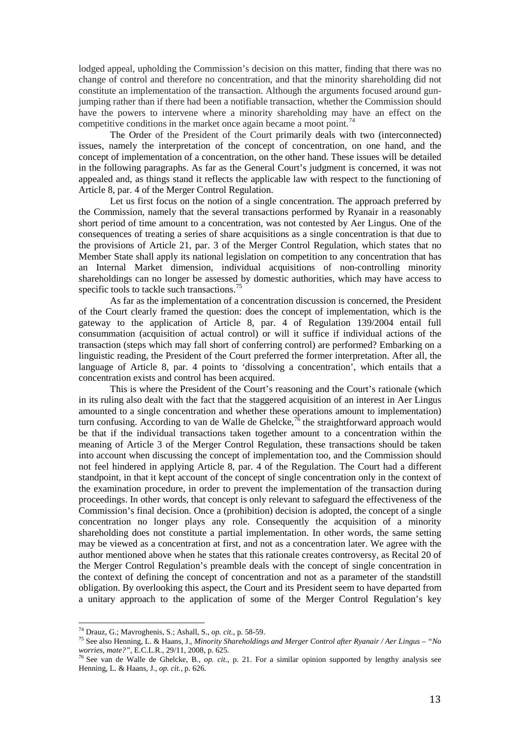lodged appeal, upholding the Commission's decision on this matter, finding that there was no change of control and therefore no concentration, and that the minority shareholding did not constitute an implementation of the transaction. Although the arguments focused around gunjumping rather than if there had been a notifiable transaction, whether the Commission should have the powers to intervene where a minority shareholding may have an effect on the competitive conditions in the market once again became a moot point.<sup>[74](#page-13-0)</sup>

The Order of the President of the Court primarily deals with two (interconnected) issues, namely the interpretation of the concept of concentration, on one hand, and the concept of implementation of a concentration, on the other hand. These issues will be detailed in the following paragraphs. As far as the General Court's judgment is concerned, it was not appealed and, as things stand it reflects the applicable law with respect to the functioning of Article 8, par. 4 of the Merger Control Regulation.

Let us first focus on the notion of a single concentration. The approach preferred by the Commission, namely that the several transactions performed by Ryanair in a reasonably short period of time amount to a concentration, was not contested by Aer Lingus. One of the consequences of treating a series of share acquisitions as a single concentration is that due to the provisions of Article 21, par. 3 of the Merger Control Regulation, which states that no Member State shall apply its national legislation on competition to any concentration that has an Internal Market dimension, individual acquisitions of non-controlling minority shareholdings can no longer be assessed by domestic authorities, which may have access to specific tools to tackle such transactions.<sup>[75](#page-13-1)</sup>

As far as the implementation of a concentration discussion is concerned, the President of the Court clearly framed the question: does the concept of implementation, which is the gateway to the application of Article 8, par. 4 of Regulation 139/2004 entail full consummation (acquisition of actual control) or will it suffice if individual actions of the transaction (steps which may fall short of conferring control) are performed? Embarking on a linguistic reading, the President of the Court preferred the former interpretation. After all, the language of Article 8, par. 4 points to 'dissolving a concentration', which entails that a concentration exists and control has been acquired.

This is where the President of the Court's reasoning and the Court's rationale (which in its ruling also dealt with the fact that the staggered acquisition of an interest in Aer Lingus amounted to a single concentration and whether these operations amount to implementation) turn confusing. According to van de Walle de Ghelcke,<sup>[76](#page-13-2)</sup> the straightforward approach would be that if the individual transactions taken together amount to a concentration within the meaning of Article 3 of the Merger Control Regulation, these transactions should be taken into account when discussing the concept of implementation too, and the Commission should not feel hindered in applying Article 8, par. 4 of the Regulation. The Court had a different standpoint, in that it kept account of the concept of single concentration only in the context of the examination procedure, in order to prevent the implementation of the transaction during proceedings. In other words, that concept is only relevant to safeguard the effectiveness of the Commission's final decision. Once a (prohibition) decision is adopted, the concept of a single concentration no longer plays any role. Consequently the acquisition of a minority shareholding does not constitute a partial implementation. In other words, the same setting may be viewed as a concentration at first, and not as a concentration later. We agree with the author mentioned above when he states that this rationale creates controversy, as Recital 20 of the Merger Control Regulation's preamble deals with the concept of single concentration in the context of defining the concept of concentration and not as a parameter of the standstill obligation. By overlooking this aspect, the Court and its President seem to have departed from a unitary approach to the application of some of the Merger Control Regulation's key

<span id="page-13-0"></span><sup>74</sup> Drauz, G.; Mavroghenis, S.; Ashall, S., op. cit., p. 58-59.

<span id="page-13-1"></span><sup>&</sup>lt;sup>75</sup> See also Henning, L. & Haans, J., *Minority Shareholdings and Merger Control after Ryanair / Aer Lingus – "No worries, <i>mate?"*, E.C.L.R., 29/11, 2008, p. 625.

<span id="page-13-2"></span><sup>&</sup>lt;sup>76</sup> See van de Walle de Ghelcke, B., *op. cit.*, p. 21. For a similar opinion supported by lengthy analysis see Henning, L. & Haans, J., *op. cit.*, p. 626.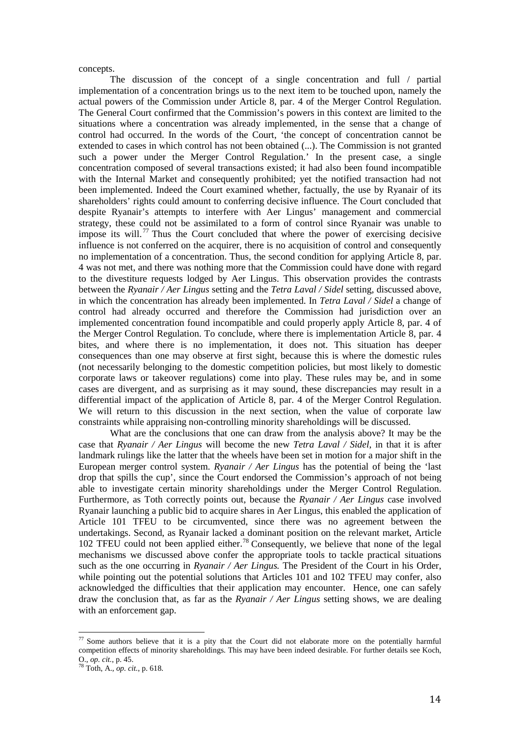concepts.

The discussion of the concept of a single concentration and full / partial implementation of a concentration brings us to the next item to be touched upon, namely the actual powers of the Commission under Article 8, par. 4 of the Merger Control Regulation. The General Court confirmed that the Commission's powers in this context are limited to the situations where a concentration was already implemented, in the sense that a change of control had occurred. In the words of the Court, 'the concept of concentration cannot be extended to cases in which control has not been obtained (...). The Commission is not granted such a power under the Merger Control Regulation.' In the present case, a single concentration composed of several transactions existed; it had also been found incompatible with the Internal Market and consequently prohibited; yet the notified transaction had not been implemented. Indeed the Court examined whether, factually, the use by Ryanair of its shareholders' rights could amount to conferring decisive influence. The Court concluded that despite Ryanair's attempts to interfere with Aer Lingus' management and commercial strategy, these could not be assimilated to a form of control since Ryanair was unable to impose its will.<sup>[77](#page-14-0)</sup> Thus the Court concluded that where the power of exercising decisive influence is not conferred on the acquirer, there is no acquisition of control and consequently no implementation of a concentration. Thus, the second condition for applying Article 8, par. 4 was not met, and there was nothing more that the Commission could have done with regard to the divestiture requests lodged by Aer Lingus. This observation provides the contrasts between the *Ryanair / Aer Lingus* setting and the *Tetra Laval / Sidel* setting, discussed above, in which the concentration has already been implemented. In *Tetra Laval / Sidel* a change of control had already occurred and therefore the Commission had jurisdiction over an implemented concentration found incompatible and could properly apply Article 8, par. 4 of the Merger Control Regulation. To conclude, where there is implementation Article 8, par. 4 bites, and where there is no implementation, it does not. This situation has deeper consequences than one may observe at first sight, because this is where the domestic rules (not necessarily belonging to the domestic competition policies, but most likely to domestic corporate laws or takeover regulations) come into play. These rules may be, and in some cases are divergent, and as surprising as it may sound, these discrepancies may result in a differential impact of the application of Article 8, par. 4 of the Merger Control Regulation. We will return to this discussion in the next section, when the value of corporate law constraints while appraising non-controlling minority shareholdings will be discussed.

What are the conclusions that one can draw from the analysis above? It may be the case that *Ryanair / Aer Lingus* will become the new *Tetra Laval / Sidel*, in that it is after landmark rulings like the latter that the wheels have been set in motion for a major shift in the European merger control system. *Ryanair / Aer Lingus* has the potential of being the 'last drop that spills the cup', since the Court endorsed the Commission's approach of not being able to investigate certain minority shareholdings under the Merger Control Regulation. Furthermore, as Toth correctly points out, because the *Ryanair / Aer Lingus* case involved Ryanair launching a public bid to acquire shares in Aer Lingus, this enabled the application of Article 101 TFEU to be circumvented, since there was no agreement between the undertakings. Second, as Ryanair lacked a dominant position on the relevant market, Article 102 TFEU could not been applied either.<sup>[78](#page-14-1)</sup> Consequently, we believe that none of the legal mechanisms we discussed above confer the appropriate tools to tackle practical situations such as the one occurring in *Ryanair / Aer Lingus.* The President of the Court in his Order, while pointing out the potential solutions that Articles 101 and 102 TFEU may confer, also acknowledged the difficulties that their application may encounter. Hence, one can safely draw the conclusion that, as far as the *Ryanair / Aer Lingus* setting shows, we are dealing with an enforcement gap.

<span id="page-14-0"></span><sup>&</sup>lt;sup>77</sup> Some authors believe that it is a pity that the Court did not elaborate more on the potentially harmful competition effects of minority shareholdings. This may have been indeed desirable. For further details see Koch,

<span id="page-14-1"></span>O., *op. cit.*, p. 45. <sup>78</sup> Toth, A., *op. cit.*, p. 618.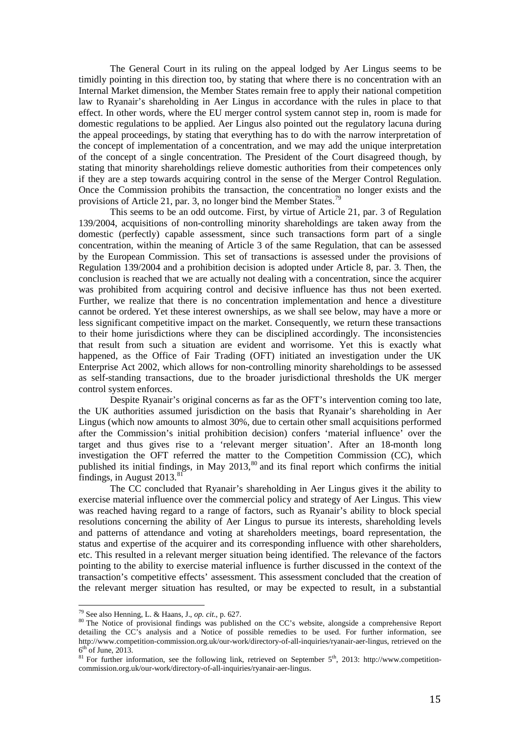The General Court in its ruling on the appeal lodged by Aer Lingus seems to be timidly pointing in this direction too, by stating that where there is no concentration with an Internal Market dimension, the Member States remain free to apply their national competition law to Ryanair's shareholding in Aer Lingus in accordance with the rules in place to that effect. In other words, where the EU merger control system cannot step in, room is made for domestic regulations to be applied. Aer Lingus also pointed out the regulatory lacuna during the appeal proceedings, by stating that everything has to do with the narrow interpretation of the concept of implementation of a concentration, and we may add the unique interpretation of the concept of a single concentration. The President of the Court disagreed though, by stating that minority shareholdings relieve domestic authorities from their competences only if they are a step towards acquiring control in the sense of the Merger Control Regulation. Once the Commission prohibits the transaction, the concentration no longer exists and the provisions of Article 21, par. 3, no longer bind the Member States.<sup>[79](#page-15-0)</sup>

This seems to be an odd outcome. First, by virtue of Article 21, par. 3 of Regulation 139/2004, acquisitions of non-controlling minority shareholdings are taken away from the domestic (perfectly) capable assessment, since such transactions form part of a single concentration, within the meaning of Article 3 of the same Regulation, that can be assessed by the European Commission. This set of transactions is assessed under the provisions of Regulation 139/2004 and a prohibition decision is adopted under Article 8, par. 3. Then, the conclusion is reached that we are actually not dealing with a concentration, since the acquirer was prohibited from acquiring control and decisive influence has thus not been exerted. Further, we realize that there is no concentration implementation and hence a divestiture cannot be ordered. Yet these interest ownerships, as we shall see below, may have a more or less significant competitive impact on the market. Consequently, we return these transactions to their home jurisdictions where they can be disciplined accordingly. The inconsistencies that result from such a situation are evident and worrisome. Yet this is exactly what happened, as the Office of Fair Trading (OFT) initiated an investigation under the UK Enterprise Act 2002, which allows for non-controlling minority shareholdings to be assessed as self-standing transactions, due to the broader jurisdictional thresholds the UK merger control system enforces.

Despite Ryanair's original concerns as far as the OFT's intervention coming too late, the UK authorities assumed jurisdiction on the basis that Ryanair's shareholding in Aer Lingus (which now amounts to almost 30%, due to certain other small acquisitions performed after the Commission's initial prohibition decision) confers 'material influence' over the target and thus gives rise to a 'relevant merger situation'. After an 18-month long investigation the OFT referred the matter to the Competition Commission (CC), which published its initial findings, in May 2013,<sup>[80](#page-15-1)</sup> and its final report which confirms the initial findings, in August  $2013^{81}$  $2013^{81}$  $2013^{81}$ 

The CC concluded that Ryanair's shareholding in Aer Lingus gives it the ability to exercise material influence over the commercial policy and strategy of Aer Lingus. This view was reached having regard to a range of factors, such as Ryanair's ability to block special resolutions concerning the ability of Aer Lingus to pursue its interests, shareholding levels and patterns of attendance and voting at shareholders meetings, board representation, the status and expertise of the acquirer and its corresponding influence with other shareholders, etc. This resulted in a relevant merger situation being identified. The relevance of the factors pointing to the ability to exercise material influence is further discussed in the context of the transaction's competitive effects' assessment. This assessment concluded that the creation of the relevant merger situation has resulted, or may be expected to result, in a substantial

<sup>79</sup> See also Henning, L. & Haans, J., op. cit., p. 627.

<span id="page-15-1"></span><span id="page-15-0"></span><sup>&</sup>lt;sup>80</sup> The Notice of provisional findings was published on the CC's website, alongside a comprehensive Report detailing the CC's analysis and a Notice of possible remedies to be used. For further information, see http://www.competition-commission.org.uk/our-work/directory-of-all-inquiries/ryanair-aer-lingus, retrieved on the 6<sup>th</sup> of June, 2013.

<span id="page-15-2"></span> $^{81}$  For further information, see the following link, retrieved on September 5<sup>th</sup>, 2013: http://www.competitioncommission.org.uk/our-work/directory-of-all-inquiries/ryanair-aer-lingus.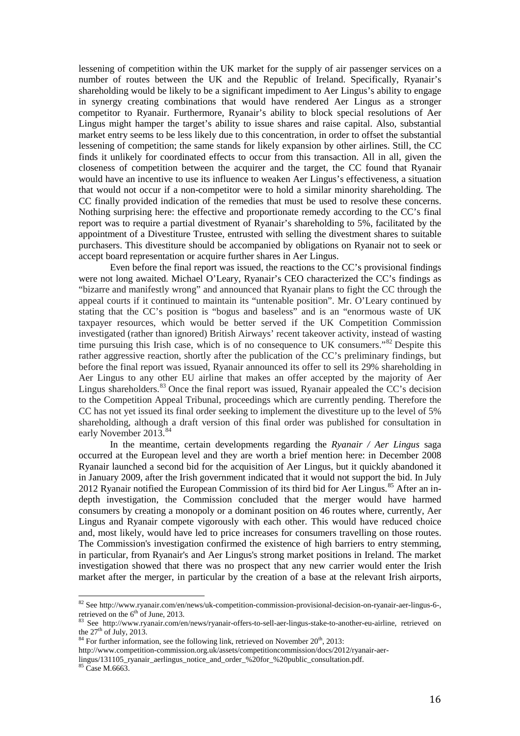lessening of competition within the UK market for the supply of air passenger services on a number of routes between the UK and the Republic of Ireland. Specifically, Ryanair's shareholding would be likely to be a significant impediment to Aer Lingus's ability to engage in synergy creating combinations that would have rendered Aer Lingus as a stronger competitor to Ryanair. Furthermore, Ryanair's ability to block special resolutions of Aer Lingus might hamper the target's ability to issue shares and raise capital. Also, substantial market entry seems to be less likely due to this concentration, in order to offset the substantial lessening of competition; the same stands for likely expansion by other airlines. Still, the CC finds it unlikely for coordinated effects to occur from this transaction. All in all, given the closeness of competition between the acquirer and the target, the CC found that Ryanair would have an incentive to use its influence to weaken Aer Lingus's effectiveness, a situation that would not occur if a non-competitor were to hold a similar minority shareholding. The CC finally provided indication of the remedies that must be used to resolve these concerns. Nothing surprising here: the effective and proportionate remedy according to the CC's final report was to require a partial divestment of Ryanair's shareholding to 5%, facilitated by the appointment of a Divestiture Trustee, entrusted with selling the divestment shares to suitable purchasers. This divestiture should be accompanied by obligations on Ryanair not to seek or accept board representation or acquire further shares in Aer Lingus.

Even before the final report was issued, the reactions to the CC's provisional findings were not long awaited. Michael O'Leary, Ryanair's CEO characterized the CC's findings as "bizarre and manifestly wrong" and announced that Ryanair plans to fight the CC through the appeal courts if it continued to maintain its "untenable position". Mr. O'Leary continued by stating that the CC's position is "bogus and baseless" and is an "enormous waste of UK taxpayer resources, which would be better served if the UK Competition Commission investigated (rather than ignored) British Airways' recent takeover activity, instead of wasting time pursuing this Irish case, which is of no consequence to UK consumers."[82](#page-16-0) Despite this rather aggressive reaction, shortly after the publication of the CC's preliminary findings, but before the final report was issued, Ryanair announced its offer to sell its 29% shareholding in Aer Lingus to any other EU airline that makes an offer accepted by the majority of Aer Lingus shareholders.<sup>[83](#page-16-1)</sup> Once the final report was issued, Ryanair appealed the CC's decision to the Competition Appeal Tribunal, proceedings which are currently pending. Therefore the CC has not yet issued its final order seeking to implement the divestiture up to the level of 5% shareholding, although a draft version of this final order was published for consultation in early November 2013.<sup>[84](#page-16-2)</sup>

In the meantime, certain developments regarding the *Ryanair / Aer Lingus* saga occurred at the European level and they are worth a brief mention here: in December 2008 Ryanair launched a second bid for the acquisition of Aer Lingus, but it quickly abandoned it in January 2009, after the Irish government indicated that it would not support the bid. In July 2012 Ryanair notified the European Commission of its third bid for Aer Lingus.<sup>[85](#page-16-3)</sup> After an indepth investigation, the Commission concluded that the merger would have harmed consumers by creating a monopoly or a dominant position on 46 routes where, currently, Aer Lingus and Ryanair compete vigorously with each other. This would have reduced choice and, most likely, would have led to price increases for consumers travelling on those routes. The Commission's investigation confirmed the existence of high barriers to entry stemming, in particular, from Ryanair's and Aer Lingus's strong market positions in Ireland. The market investigation showed that there was no prospect that any new carrier would enter the Irish market after the merger, in particular by the creation of a base at the relevant Irish airports,

<sup>82&</sup>lt;br>82 See http://www.ryanair.com/en/news/uk-competition-commission-provisional-decision-on-ryanair-aer-lingus-6-,

<span id="page-16-1"></span><span id="page-16-0"></span>retrieved on the 6<sup>th</sup> of June, 2013.<br><sup>83</sup> See http://www.ryanair.com/en/news/ryanair-offers-to-sell-aer-lingus-stake-to-another-eu-airline, retrieved on the  $27<sup>th</sup>$  of July, 2013.

 $84$  For further information, see the following link, retrieved on November  $20<sup>th</sup>$ ,  $2013$ :

<span id="page-16-2"></span>http://www.competition-commission.org.uk/assets/competitioncommission/docs/2012/ryanair-aer-

lingus/131105\_ryanair\_aerlingus\_notice\_and\_order\_%20for\_%20public\_consultation.pdf.

<span id="page-16-3"></span><sup>&</sup>lt;sup>85</sup> Case M.6663.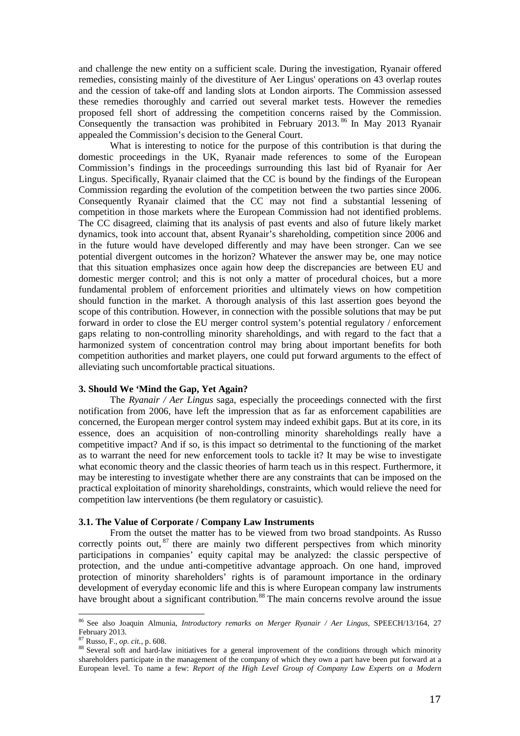and challenge the new entity on a sufficient scale. During the investigation, Ryanair offered remedies, consisting mainly of the divestiture of Aer Lingus' operations on 43 overlap routes and the cession of take-off and landing slots at London airports. The Commission assessed these remedies thoroughly and carried out several market tests. However the remedies proposed fell short of addressing the competition concerns raised by the Commission. Consequently the transaction was prohibited in February 2013. [86](#page-17-0) In May 2013 Ryanair appealed the Commission's decision to the General Court.

What is interesting to notice for the purpose of this contribution is that during the domestic proceedings in the UK, Ryanair made references to some of the European Commission's findings in the proceedings surrounding this last bid of Ryanair for Aer Lingus. Specifically, Ryanair claimed that the CC is bound by the findings of the European Commission regarding the evolution of the competition between the two parties since 2006. Consequently Ryanair claimed that the CC may not find a substantial lessening of competition in those markets where the European Commission had not identified problems. The CC disagreed, claiming that its analysis of past events and also of future likely market dynamics, took into account that, absent Ryanair's shareholding, competition since 2006 and in the future would have developed differently and may have been stronger. Can we see potential divergent outcomes in the horizon? Whatever the answer may be, one may notice that this situation emphasizes once again how deep the discrepancies are between EU and domestic merger control; and this is not only a matter of procedural choices, but a more fundamental problem of enforcement priorities and ultimately views on how competition should function in the market. A thorough analysis of this last assertion goes beyond the scope of this contribution. However, in connection with the possible solutions that may be put forward in order to close the EU merger control system's potential regulatory / enforcement gaps relating to non-controlling minority shareholdings, and with regard to the fact that a harmonized system of concentration control may bring about important benefits for both competition authorities and market players, one could put forward arguments to the effect of alleviating such uncomfortable practical situations.

## **3. Should We 'Mind the Gap, Yet Again?**

The *Ryanair / Aer Lingus* saga, especially the proceedings connected with the first notification from 2006, have left the impression that as far as enforcement capabilities are concerned, the European merger control system may indeed exhibit gaps. But at its core, in its essence, does an acquisition of non-controlling minority shareholdings really have a competitive impact? And if so, is this impact so detrimental to the functioning of the market as to warrant the need for new enforcement tools to tackle it? It may be wise to investigate what economic theory and the classic theories of harm teach us in this respect. Furthermore, it may be interesting to investigate whether there are any constraints that can be imposed on the practical exploitation of minority shareholdings, constraints, which would relieve the need for competition law interventions (be them regulatory or casuistic).

## **3.1. The Value of Corporate / Company Law Instruments**

From the outset the matter has to be viewed from two broad standpoints. As Russo correctly points out, <sup>[87](#page-17-1)</sup> there are mainly two different perspectives from which minority participations in companies' equity capital may be analyzed: the classic perspective of protection, and the undue anti-competitive advantage approach. On one hand, improved protection of minority shareholders' rights is of paramount importance in the ordinary development of everyday economic life and this is where European company law instruments have brought about a significant contribution.<sup>[88](#page-17-2)</sup> The main concerns revolve around the issue

<span id="page-17-0"></span><sup>86</sup> See also Joaquin Almunia, *Introductory remarks on Merger Ryanair / Aer Lingus*, SPEECH/13/164, 27 February 2013.<br><sup>87</sup> Russo, F., *op. cit.*, p. 608.

<span id="page-17-2"></span><span id="page-17-1"></span><sup>88</sup> Several soft and hard-law initiatives for a general improvement of the conditions through which minority shareholders participate in the management of the company of which they own a part have been put forward at a European level. To name a few: *Report of the High Level Group of Company Law Experts on a Modern*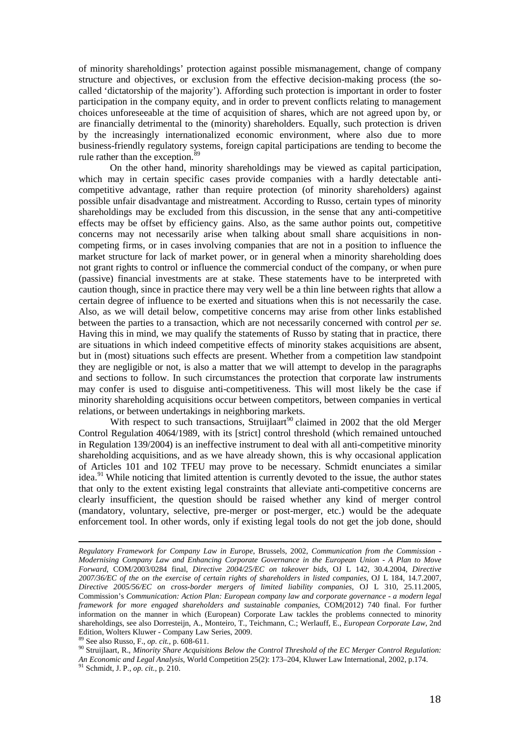of minority shareholdings' protection against possible mismanagement, change of company structure and objectives, or exclusion from the effective decision-making process (the socalled 'dictatorship of the majority'). Affording such protection is important in order to foster participation in the company equity, and in order to prevent conflicts relating to management choices unforeseeable at the time of acquisition of shares, which are not agreed upon by, or are financially detrimental to the (minority) shareholders. Equally, such protection is driven by the increasingly internationalized economic environment, where also due to more business-friendly regulatory systems, foreign capital participations are tending to become the rule rather than the exception.<sup>[89](#page-18-0)</sup>

On the other hand, minority shareholdings may be viewed as capital participation, which may in certain specific cases provide companies with a hardly detectable anticompetitive advantage, rather than require protection (of minority shareholders) against possible unfair disadvantage and mistreatment. According to Russo, certain types of minority shareholdings may be excluded from this discussion, in the sense that any anti-competitive effects may be offset by efficiency gains. Also, as the same author points out, competitive concerns may not necessarily arise when talking about small share acquisitions in noncompeting firms, or in cases involving companies that are not in a position to influence the market structure for lack of market power, or in general when a minority shareholding does not grant rights to control or influence the commercial conduct of the company, or when pure (passive) financial investments are at stake. These statements have to be interpreted with caution though, since in practice there may very well be a thin line between rights that allow a certain degree of influence to be exerted and situations when this is not necessarily the case. Also, as we will detail below, competitive concerns may arise from other links established between the parties to a transaction, which are not necessarily concerned with control *per se*. Having this in mind, we may qualify the statements of Russo by stating that in practice, there are situations in which indeed competitive effects of minority stakes acquisitions are absent, but in (most) situations such effects are present. Whether from a competition law standpoint they are negligible or not, is also a matter that we will attempt to develop in the paragraphs and sections to follow. In such circumstances the protection that corporate law instruments may confer is used to disguise anti-competitiveness. This will most likely be the case if minority shareholding acquisitions occur between competitors, between companies in vertical relations, or between undertakings in neighboring markets.

With respect to such transactions, Struijlaart<sup>[90](#page-18-1)</sup> claimed in 2002 that the old Merger Control Regulation 4064/1989, with its [strict] control threshold (which remained untouched in Regulation 139/2004) is an ineffective instrument to deal with all anti-competitive minority shareholding acquisitions, and as we have already shown, this is why occasional application of Articles 101 and 102 TFEU may prove to be necessary. Schmidt enunciates a similar idea.<sup>[91](#page-18-2)</sup> While noticing that limited attention is currently devoted to the issue, the author states that only to the extent existing legal constraints that alleviate anti-competitive concerns are clearly insufficient, the question should be raised whether any kind of merger control (mandatory, voluntary, selective, pre-merger or post-merger, etc.) would be the adequate enforcement tool. In other words, only if existing legal tools do not get the job done, should

<span id="page-18-1"></span>*An Economic and Legal Analysis*, World Competition 25(2): 173–204, Kluwer Law International, 2002, p.174. <sup>91</sup> Schmidt, J. P., *op. cit.*, p. 210.

*Regulatory Framework for Company Law in Europe*, Brussels, 2002, *Communication from the Commission - Modernising Company Law and Enhancing Corporate Governance in the European Union - A Plan to Move Forward*, COM/2003/0284 final, *Directive 2004/25/EC on takeover bids*, OJ L 142, 30.4.2004, *Directive 2007/36/EC of the on the exercise of certain rights of shareholders in listed companies*, OJ L 184, 14.7.2007, *Directive 2005/56/EC on cross-border mergers of limited liability companies*, OJ L 310, 25.11.2005, Commission's *Communication: Action Plan: European company law and corporate governance - a modern legal framework for more engaged shareholders and sustainable companies*, COM(2012) 740 final. For further information on the manner in which (European) Corporate Law tackles the problems connected to minority shareholdings, see also Dorresteijn, A., Monteiro, T., Teichmann, C.; Werlauff, E., *European Corporate Law*, 2nd Edition, Wolters Kluwer - Company Law Series, 2009.<br><sup>89</sup> See also Russo, F., *op. cit.*, p. 608-611.<br><sup>90</sup> Struijlaart, R., *Minority Share Acquisitions Below the Control Threshold of the EC Merger Control Regulation:* 

<span id="page-18-0"></span>

<span id="page-18-2"></span>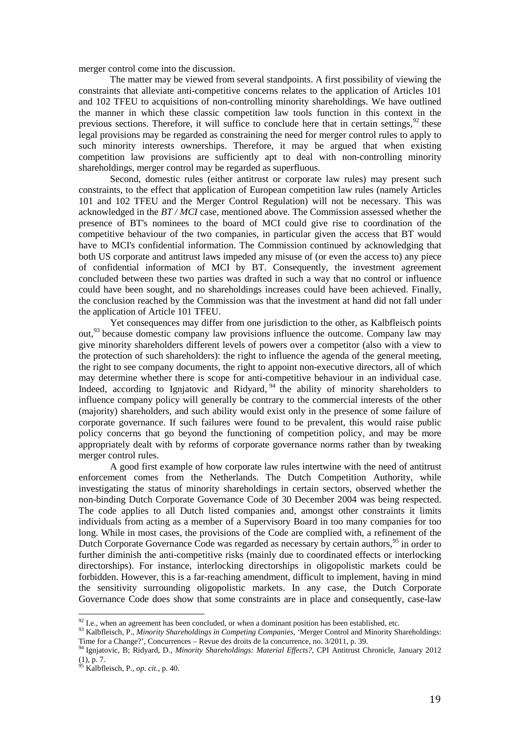merger control come into the discussion.

The matter may be viewed from several standpoints. A first possibility of viewing the constraints that alleviate anti-competitive concerns relates to the application of Articles 101 and 102 TFEU to acquisitions of non-controlling minority shareholdings. We have outlined the manner in which these classic competition law tools function in this context in the previous sections. Therefore, it will suffice to conclude here that in certain settings,  $92$  these legal provisions may be regarded as constraining the need for merger control rules to apply to such minority interests ownerships. Therefore, it may be argued that when existing competition law provisions are sufficiently apt to deal with non-controlling minority shareholdings, merger control may be regarded as superfluous.

Second, domestic rules (either antitrust or corporate law rules) may present such constraints, to the effect that application of European competition law rules (namely Articles 101 and 102 TFEU and the Merger Control Regulation) will not be necessary. This was acknowledged in the *BT / MCI* case, mentioned above. The Commission assessed whether the presence of BT's nominees to the board of MCI could give rise to coordination of the competitive behaviour of the two companies, in particular given the access that BT would have to MCI's confidential information. The Commission continued by acknowledging that both US corporate and antitrust laws impeded any misuse of (or even the access to) any piece of confidential information of MCI by BT. Consequently, the investment agreement concluded between these two parties was drafted in such a way that no control or influence could have been sought, and no shareholdings increases could have been achieved. Finally, the conclusion reached by the Commission was that the investment at hand did not fall under the application of Article 101 TFEU.

Yet consequences may differ from one jurisdiction to the other, as Kalbfleisch points out, [93](#page-19-1) because domestic company law provisions influence the outcome. Company law may give minority shareholders different levels of powers over a competitor (also with a view to the protection of such shareholders): the right to influence the agenda of the general meeting, the right to see company documents, the right to appoint non-executive directors, all of which may determine whether there is scope for anti-competitive behaviour in an individual case. Indeed, according to Ignjatovic and Ridyard,  $94$  the ability of minority shareholders to influence company policy will generally be contrary to the commercial interests of the other (majority) shareholders, and such ability would exist only in the presence of some failure of corporate governance. If such failures were found to be prevalent, this would raise public policy concerns that go beyond the functioning of competition policy, and may be more appropriately dealt with by reforms of corporate governance norms rather than by tweaking merger control rules.

A good first example of how corporate law rules intertwine with the need of antitrust enforcement comes from the Netherlands. The Dutch Competition Authority, while investigating the status of minority shareholdings in certain sectors, observed whether the non-binding Dutch Corporate Governance Code of 30 December 2004 was being respected. The code applies to all Dutch listed companies and, amongst other constraints it limits individuals from acting as a member of a Supervisory Board in too many companies for too long. While in most cases, the provisions of the Code are complied with, a refinement of the Dutch Corporate Governance Code was regarded as necessary by certain authors,<sup>[95](#page-19-3)</sup> in order to further diminish the anti-competitive risks (mainly due to coordinated effects or interlocking directorships). For instance, interlocking directorships in oligopolistic markets could be forbidden. However, this is a far-reaching amendment, difficult to implement, having in mind the sensitivity surrounding oligopolistic markets. In any case, the Dutch Corporate Governance Code does show that some constraints are in place and consequently, case-law

<span id="page-19-0"></span> $92$  I.e., when an agreement has been concluded, or when a dominant position has been established, etc.

<span id="page-19-1"></span><sup>&</sup>lt;sup>93</sup> Kalbfleisch, P., *Minority Shareholdings in Competing Companies*, 'Merger Control and Minority Shareholdings:<br>Time for a Change?', Concurrences – Revue des droits de la concurrence, no.  $3/2011$ , p. 39.

<span id="page-19-2"></span><sup>&</sup>lt;sup>94</sup> Ignjatovic, B; Ridyard, D., *Minority Shareholdings: Material Effects?*, CPI Antitrust Chronicle, January 2012 (1), p. 7.

<span id="page-19-3"></span><sup>95</sup> Kalbfleisch, P., *op. cit.*, p. 40.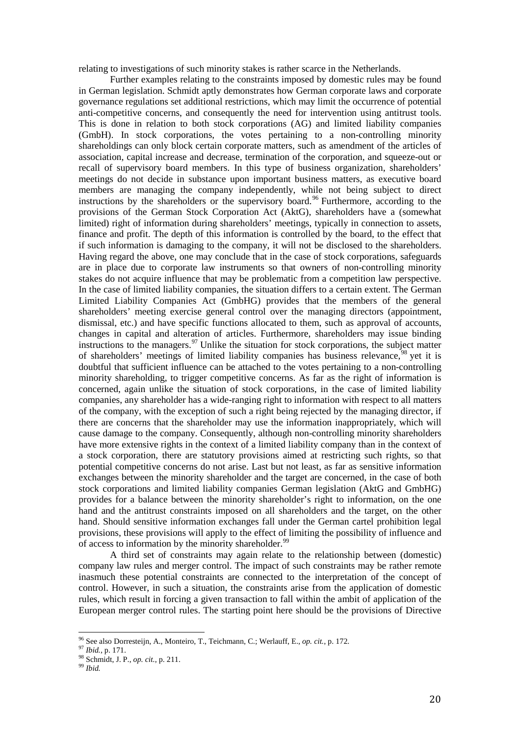relating to investigations of such minority stakes is rather scarce in the Netherlands.

Further examples relating to the constraints imposed by domestic rules may be found in German legislation. Schmidt aptly demonstrates how German corporate laws and corporate governance regulations set additional restrictions, which may limit the occurrence of potential anti-competitive concerns, and consequently the need for intervention using antitrust tools. This is done in relation to both stock corporations (AG) and limited liability companies (GmbH). In stock corporations, the votes pertaining to a non-controlling minority shareholdings can only block certain corporate matters, such as amendment of the articles of association, capital increase and decrease, termination of the corporation, and squeeze-out or recall of supervisory board members. In this type of business organization, shareholders' meetings do not decide in substance upon important business matters, as executive board members are managing the company independently, while not being subject to direct instructions by the shareholders or the supervisory board. [96](#page-20-0) Furthermore, according to the provisions of the German Stock Corporation Act (AktG), shareholders have a (somewhat limited) right of information during shareholders' meetings, typically in connection to assets, finance and profit. The depth of this information is controlled by the board, to the effect that if such information is damaging to the company, it will not be disclosed to the shareholders. Having regard the above, one may conclude that in the case of stock corporations, safeguards are in place due to corporate law instruments so that owners of non-controlling minority stakes do not acquire influence that may be problematic from a competition law perspective. In the case of limited liability companies, the situation differs to a certain extent. The German Limited Liability Companies Act (GmbHG) provides that the members of the general shareholders' meeting exercise general control over the managing directors (appointment, dismissal, etc.) and have specific functions allocated to them, such as approval of accounts, changes in capital and alteration of articles. Furthermore, shareholders may issue binding instructions to the managers. $97$  Unlike the situation for stock corporations, the subject matter of shareholders' meetings of limited liability companies has business relevance,<sup>[98](#page-20-2)</sup> yet it is doubtful that sufficient influence can be attached to the votes pertaining to a non-controlling minority shareholding, to trigger competitive concerns. As far as the right of information is concerned, again unlike the situation of stock corporations, in the case of limited liability companies, any shareholder has a wide-ranging right to information with respect to all matters of the company, with the exception of such a right being rejected by the managing director, if there are concerns that the shareholder may use the information inappropriately, which will cause damage to the company. Consequently, although non-controlling minority shareholders have more extensive rights in the context of a limited liability company than in the context of a stock corporation, there are statutory provisions aimed at restricting such rights, so that potential competitive concerns do not arise. Last but not least, as far as sensitive information exchanges between the minority shareholder and the target are concerned, in the case of both stock corporations and limited liability companies German legislation (AktG and GmbHG) provides for a balance between the minority shareholder's right to information, on the one hand and the antitrust constraints imposed on all shareholders and the target, on the other hand. Should sensitive information exchanges fall under the German cartel prohibition legal provisions, these provisions will apply to the effect of limiting the possibility of influence and of access to information by the minority shareholder.<sup>[99](#page-20-3)</sup>

A third set of constraints may again relate to the relationship between (domestic) company law rules and merger control. The impact of such constraints may be rather remote inasmuch these potential constraints are connected to the interpretation of the concept of control. However, in such a situation, the constraints arise from the application of domestic rules, which result in forcing a given transaction to fall within the ambit of application of the European merger control rules. The starting point here should be the provisions of Directive

<span id="page-20-0"></span><sup>96</sup> See also Dorresteijn, A., Monteiro, T., Teichmann, C.; Werlauff, E., *op. cit.*, p. 172.<br><sup>97</sup> *Ibid.*, p. 171.<br><sup>98</sup> Schmidt, J. P., *op. cit.*, p. 211. 99 *Ibid.*  $\frac{1}{2}$ 

<span id="page-20-1"></span>

<span id="page-20-3"></span><span id="page-20-2"></span>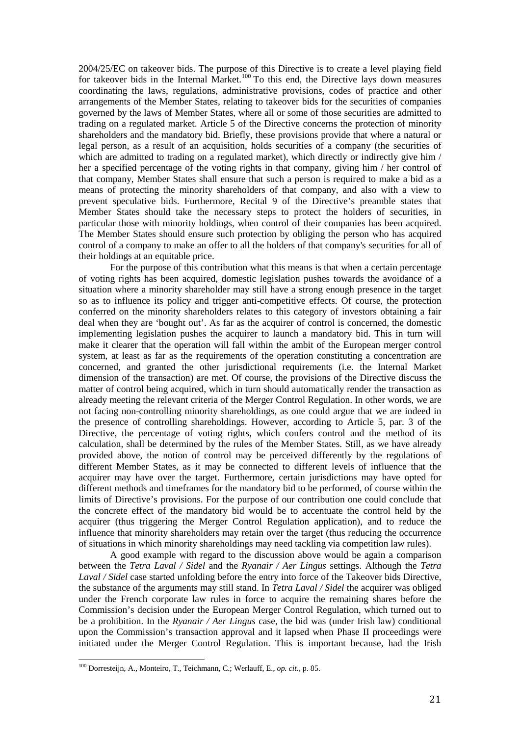2004/25/EC on takeover bids. The purpose of this Directive is to create a level playing field for takeover bids in the Internal Market.<sup>[100](#page-21-0)</sup> To this end, the Directive lays down measures coordinating the laws, regulations, administrative provisions, codes of practice and other arrangements of the Member States, relating to takeover bids for the securities of companies governed by the laws of Member States, where all or some of those securities are admitted to trading on a regulated market. Article 5 of the Directive concerns the protection of minority shareholders and the mandatory bid. Briefly, these provisions provide that where a natural or legal person, as a result of an acquisition, holds securities of a company (the securities of which are admitted to trading on a regulated market), which directly or indirectly give him / her a specified percentage of the voting rights in that company, giving him / her control of that company, Member States shall ensure that such a person is required to make a bid as a means of protecting the minority shareholders of that company, and also with a view to prevent speculative bids. Furthermore, Recital 9 of the Directive's preamble states that Member States should take the necessary steps to protect the holders of securities, in particular those with minority holdings, when control of their companies has been acquired. The Member States should ensure such protection by obliging the person who has acquired control of a company to make an offer to all the holders of that company's securities for all of their holdings at an equitable price.

For the purpose of this contribution what this means is that when a certain percentage of voting rights has been acquired, domestic legislation pushes towards the avoidance of a situation where a minority shareholder may still have a strong enough presence in the target so as to influence its policy and trigger anti-competitive effects. Of course, the protection conferred on the minority shareholders relates to this category of investors obtaining a fair deal when they are 'bought out'. As far as the acquirer of control is concerned, the domestic implementing legislation pushes the acquirer to launch a mandatory bid. This in turn will make it clearer that the operation will fall within the ambit of the European merger control system, at least as far as the requirements of the operation constituting a concentration are concerned, and granted the other jurisdictional requirements (i.e. the Internal Market dimension of the transaction) are met. Of course, the provisions of the Directive discuss the matter of control being acquired, which in turn should automatically render the transaction as already meeting the relevant criteria of the Merger Control Regulation. In other words, we are not facing non-controlling minority shareholdings, as one could argue that we are indeed in the presence of controlling shareholdings. However, according to Article 5, par. 3 of the Directive, the percentage of voting rights, which confers control and the method of its calculation, shall be determined by the rules of the Member States. Still, as we have already provided above, the notion of control may be perceived differently by the regulations of different Member States, as it may be connected to different levels of influence that the acquirer may have over the target. Furthermore, certain jurisdictions may have opted for different methods and timeframes for the mandatory bid to be performed, of course within the limits of Directive's provisions. For the purpose of our contribution one could conclude that the concrete effect of the mandatory bid would be to accentuate the control held by the acquirer (thus triggering the Merger Control Regulation application), and to reduce the influence that minority shareholders may retain over the target (thus reducing the occurrence of situations in which minority shareholdings may need tackling via competition law rules).

A good example with regard to the discussion above would be again a comparison between the *Tetra Laval / Sidel* and the *Ryanair / Aer Lingus* settings. Although the *Tetra Laval / Sidel* case started unfolding before the entry into force of the Takeover bids Directive, the substance of the arguments may still stand. In *Tetra Laval / Sidel* the acquirer was obliged under the French corporate law rules in force to acquire the remaining shares before the Commission's decision under the European Merger Control Regulation, which turned out to be a prohibition. In the *Ryanair / Aer Lingus* case, the bid was (under Irish law) conditional upon the Commission's transaction approval and it lapsed when Phase II proceedings were initiated under the Merger Control Regulation. This is important because, had the Irish

<span id="page-21-0"></span><sup>100</sup> Dorresteijn, A., Monteiro, T., Teichmann, C.; Werlauff, E., *op. cit.*, p. 85.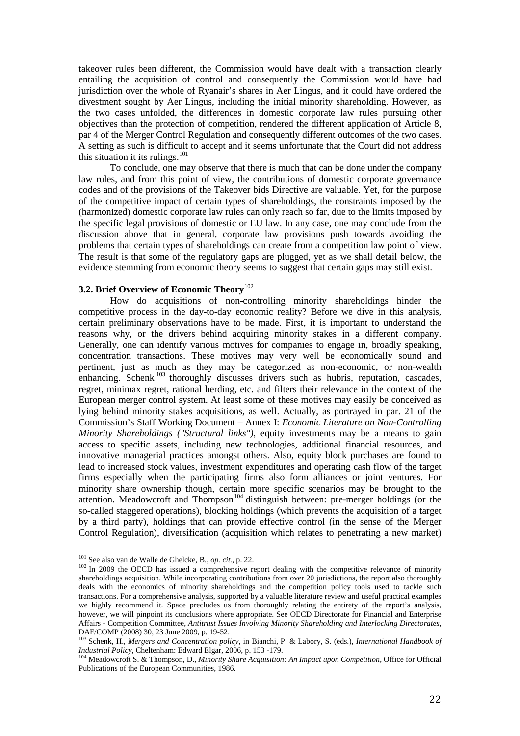takeover rules been different, the Commission would have dealt with a transaction clearly entailing the acquisition of control and consequently the Commission would have had jurisdiction over the whole of Ryanair's shares in Aer Lingus, and it could have ordered the divestment sought by Aer Lingus, including the initial minority shareholding. However, as the two cases unfolded, the differences in domestic corporate law rules pursuing other objectives than the protection of competition, rendered the different application of Article 8, par 4 of the Merger Control Regulation and consequently different outcomes of the two cases. A setting as such is difficult to accept and it seems unfortunate that the Court did not address this situation it its rulings. $101$ 

To conclude, one may observe that there is much that can be done under the company law rules, and from this point of view, the contributions of domestic corporate governance codes and of the provisions of the Takeover bids Directive are valuable. Yet, for the purpose of the competitive impact of certain types of shareholdings, the constraints imposed by the (harmonized) domestic corporate law rules can only reach so far, due to the limits imposed by the specific legal provisions of domestic or EU law. In any case, one may conclude from the discussion above that in general, corporate law provisions push towards avoiding the problems that certain types of shareholdings can create from a competition law point of view. The result is that some of the regulatory gaps are plugged, yet as we shall detail below, the evidence stemming from economic theory seems to suggest that certain gaps may still exist.

## **3.2. Brief Overview of Economic Theory**[102](#page-22-1)

How do acquisitions of non-controlling minority shareholdings hinder the competitive process in the day-to-day economic reality? Before we dive in this analysis, certain preliminary observations have to be made. First, it is important to understand the reasons why, or the drivers behind acquiring minority stakes in a different company. Generally, one can identify various motives for companies to engage in, broadly speaking, concentration transactions. These motives may very well be economically sound and pertinent, just as much as they may be categorized as non-economic, or non-wealth enhancing. Schenk  $103$  thoroughly discusses drivers such as hubris, reputation, cascades, regret, minimax regret, rational herding, etc. and filters their relevance in the context of the European merger control system. At least some of these motives may easily be conceived as lying behind minority stakes acquisitions, as well. Actually, as portrayed in par. 21 of the Commission's Staff Working Document – Annex I: *Economic Literature on Non-Controlling Minority Shareholdings ("Structural links")*, equity investments may be a means to gain access to specific assets, including new technologies, additional financial resources, and innovative managerial practices amongst others. Also, equity block purchases are found to lead to increased stock values, investment expenditures and operating cash flow of the target firms especially when the participating firms also form alliances or joint ventures. For minority share ownership though, certain more specific scenarios may be brought to the attention. Meadowcroft and Thompson<sup>[104](#page-22-3)</sup> distinguish between: pre-merger holdings (or the so-called staggered operations), blocking holdings (which prevents the acquisition of a target by a third party), holdings that can provide effective control (in the sense of the Merger Control Regulation), diversification (acquisition which relates to penetrating a new market)

<span id="page-22-0"></span> $^{101}$  See also van de Walle de Ghelcke, B., op. cit., p. 22.

<span id="page-22-1"></span><sup>&</sup>lt;sup>102</sup> In 2009 the OECD has issued a comprehensive report dealing with the competitive relevance of minority shareholdings acquisition. While incorporating contributions from over 20 jurisdictions, the report also thoroughly deals with the economics of minority shareholdings and the competition policy tools used to tackle such transactions. For a comprehensive analysis, supported by a valuable literature review and useful practical examples we highly recommend it. Space precludes us from thoroughly relating the entirety of the report's analysis, however, we will pinpoint its conclusions where appropriate. See OECD Directorate for Financial and Enterprise Affairs - Competition Committee, *Antitrust Issues Involving Minority Shareholding and Interlocking Directorates*,

<span id="page-22-2"></span><sup>&</sup>lt;sup>103</sup> Schenk, H., *Mergers and Concentration policy*, in Bianchi, P. & Labory, S. (eds.), *International Handbook of Industrial Policy*, Cheltenham: Edward Elgar, 2006, p. 153 -179.

<span id="page-22-3"></span><sup>&</sup>lt;sup>104</sup> Meadowcroft S. & Thompson, D., *Minority Share Acquisition: An Impact upon Competition*, Office for Official Publications of the European Communities, 1986.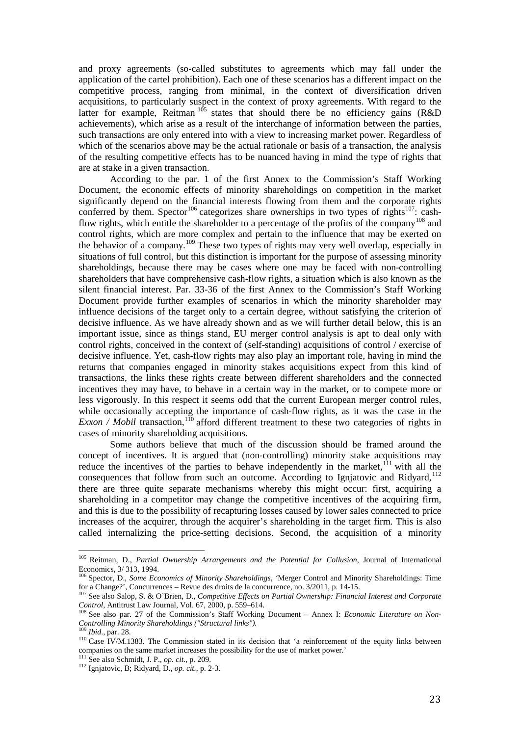and proxy agreements (so-called substitutes to agreements which may fall under the application of the cartel prohibition). Each one of these scenarios has a different impact on the competitive process, ranging from minimal, in the context of diversification driven acquisitions, to particularly suspect in the context of proxy agreements. With regard to the latter for example, Reitman  $105$  states that should there be no efficiency gains (R&D) achievements), which arise as a result of the interchange of information between the parties, such transactions are only entered into with a view to increasing market power. Regardless of which of the scenarios above may be the actual rationale or basis of a transaction, the analysis of the resulting competitive effects has to be nuanced having in mind the type of rights that are at stake in a given transaction.

According to the par. 1 of the first Annex to the Commission's Staff Working Document*,* the economic effects of minority shareholdings on competition in the market significantly depend on the financial interests flowing from them and the corporate rights conferred by them. Spector<sup>[106](#page-23-1)</sup> categorizes share ownerships in two types of rights<sup>[107](#page-23-2)</sup>: cash-flow rights, which entitle the shareholder to a percentage of the profits of the company<sup>[108](#page-23-3)</sup> and control rights, which are more complex and pertain to the influence that may be exerted on the behavior of a company.[109](#page-23-4) These two types of rights may very well overlap, especially in situations of full control, but this distinction is important for the purpose of assessing minority shareholdings, because there may be cases where one may be faced with non-controlling shareholders that have comprehensive cash-flow rights, a situation which is also known as the silent financial interest. Par. 33-36 of the first Annex to the Commission's Staff Working Document provide further examples of scenarios in which the minority shareholder may influence decisions of the target only to a certain degree, without satisfying the criterion of decisive influence. As we have already shown and as we will further detail below, this is an important issue, since as things stand, EU merger control analysis is apt to deal only with control rights, conceived in the context of (self-standing) acquisitions of control / exercise of decisive influence. Yet, cash-flow rights may also play an important role, having in mind the returns that companies engaged in minority stakes acquisitions expect from this kind of transactions, the links these rights create between different shareholders and the connected incentives they may have, to behave in a certain way in the market, or to compete more or less vigorously. In this respect it seems odd that the current European merger control rules, while occasionally accepting the importance of cash-flow rights, as it was the case in the *Exxon / Mobil transaction*,<sup>[110](#page-23-5)</sup> afford different treatment to these two categories of rights in cases of minority shareholding acquisitions.

Some authors believe that much of the discussion should be framed around the concept of incentives. It is argued that (non-controlling) minority stake acquisitions may reduce the incentives of the parties to behave independently in the market, $^{111}$  $^{111}$  $^{111}$  with all the consequences that follow from such an outcome. According to Ignjatovic and Ridyard,<sup>[112](#page-23-7)</sup> there are three quite separate mechanisms whereby this might occur: first, acquiring a shareholding in a competitor may change the competitive incentives of the acquiring firm, and this is due to the possibility of recapturing losses caused by lower sales connected to price increases of the acquirer, through the acquirer's shareholding in the target firm. This is also called internalizing the price-setting decisions. Second, the acquisition of a minority

<span id="page-23-0"></span><sup>105</sup> Reitman, D., *Partial Ownership Arrangements and the Potential for Collusion*, Journal of International Economics, 3/ 313, 1994.

<span id="page-23-1"></span><sup>106</sup> Spector, D., *Some Economics of Minority Shareholdings, '*Merger Control and Minority Shareholdings: Time for a Change?', Concurrences – Revue des droits de la concurrence, no. 3/2011, p. 14-15.<br>
<sup>107</sup> See also Salop, S. & O'Brien, D., *Competitive Effects on Partial Ownership: Financial Interest and Corporate Control*, Antitr

<span id="page-23-2"></span>

<span id="page-23-3"></span><sup>&</sup>lt;sup>108</sup> See also par. 27 of the Commission's Staff Working Document – Annex I: *Economic Literature on Non-Controlling Minority Shareholdings ("Structural links").*

<span id="page-23-5"></span><span id="page-23-4"></span><sup>&</sup>lt;sup>110</sup> Case IV/M.1383. The Commission stated in its decision that 'a reinforcement of the equity links between companies on the same market increases the possibility for the use of market power.'<br><sup>111</sup> See also Schmidt, J. P., *op. cit.*, p. 209.

<span id="page-23-6"></span>

<span id="page-23-7"></span><sup>&</sup>lt;sup>112</sup> Ignjatovic, B; Ridyard, D., *op. cit.*, p. 2-3.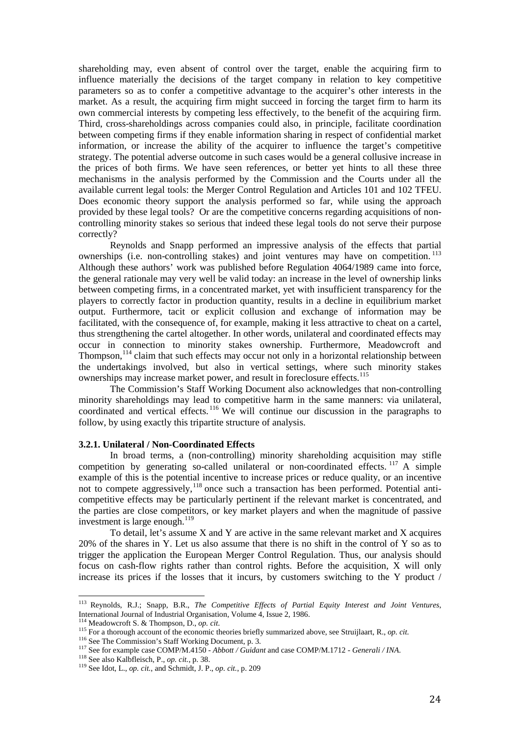shareholding may, even absent of control over the target, enable the acquiring firm to influence materially the decisions of the target company in relation to key competitive parameters so as to confer a competitive advantage to the acquirer's other interests in the market. As a result, the acquiring firm might succeed in forcing the target firm to harm its own commercial interests by competing less effectively, to the benefit of the acquiring firm. Third, cross-shareholdings across companies could also, in principle, facilitate coordination between competing firms if they enable information sharing in respect of confidential market information, or increase the ability of the acquirer to influence the target's competitive strategy. The potential adverse outcome in such cases would be a general collusive increase in the prices of both firms. We have seen references, or better yet hints to all these three mechanisms in the analysis performed by the Commission and the Courts under all the available current legal tools: the Merger Control Regulation and Articles 101 and 102 TFEU. Does economic theory support the analysis performed so far, while using the approach provided by these legal tools? Or are the competitive concerns regarding acquisitions of noncontrolling minority stakes so serious that indeed these legal tools do not serve their purpose correctly?

Reynolds and Snapp performed an impressive analysis of the effects that partial ownerships (i.e. non-controlling stakes) and joint ventures may have on competition.<sup>[113](#page-24-0)</sup> Although these authors' work was published before Regulation 4064/1989 came into force, the general rationale may very well be valid today: an increase in the level of ownership links between competing firms, in a concentrated market, yet with insufficient transparency for the players to correctly factor in production quantity, results in a decline in equilibrium market output. Furthermore, tacit or explicit collusion and exchange of information may be facilitated, with the consequence of, for example, making it less attractive to cheat on a cartel, thus strengthening the cartel altogether. In other words, unilateral and coordinated effects may occur in connection to minority stakes ownership. Furthermore, Meadowcroft and Thompson, <sup>[114](#page-24-1)</sup> claim that such effects may occur not only in a horizontal relationship between the undertakings involved, but also in vertical settings, where such minority stakes ownerships may increase market power, and result in foreclosure effects.<sup>[115](#page-24-2)</sup>

The Commission's Staff Working Document also acknowledges that non-controlling minority shareholdings may lead to competitive harm in the same manners: via unilateral, coordinated and vertical effects. [116](#page-24-3) We will continue our discussion in the paragraphs to follow, by using exactly this tripartite structure of analysis.

## **3.2.1. Unilateral / Non-Coordinated Effects**

In broad terms, a (non-controlling) minority shareholding acquisition may stifle competition by generating so-called unilateral or non-coordinated effects.  $117$  A simple example of this is the potential incentive to increase prices or reduce quality, or an incentive not to compete aggressively,  $^{118}$  $^{118}$  $^{118}$  once such a transaction has been performed. Potential anticompetitive effects may be particularly pertinent if the relevant market is concentrated, and the parties are close competitors, or key market players and when the magnitude of passive investment is large enough.<sup>[119](#page-24-6)</sup>

To detail, let's assume X and Y are active in the same relevant market and X acquires 20% of the shares in Y. Let us also assume that there is no shift in the control of Y so as to trigger the application the European Merger Control Regulation. Thus, our analysis should focus on cash-flow rights rather than control rights. Before the acquisition, X will only increase its prices if the losses that it incurs, by customers switching to the Y product  $/$ 

<span id="page-24-0"></span><sup>113</sup> Reynolds, R.J.; Snapp, B.R., *The Competitive Effects of Partial Equity Interest and Joint Ventures*, International Journal of Industrial Organisation, Volume 4, Issue 2, 1986.<br><sup>114</sup> Meadowcroft S. & Thompson, D., op. cit.

<span id="page-24-1"></span>

<span id="page-24-3"></span><span id="page-24-2"></span><sup>&</sup>lt;sup>116</sup> For a thorough account of the economic theories briefly summarized above, see Struijlaart, R., *op. cit.*<br><sup>116</sup> See The Commission's Staff Working Document, p. 3.<br><sup>117</sup> See for example case COMP/M.4150 - *Abbott / G* 

<span id="page-24-4"></span>

<span id="page-24-5"></span>

<span id="page-24-6"></span>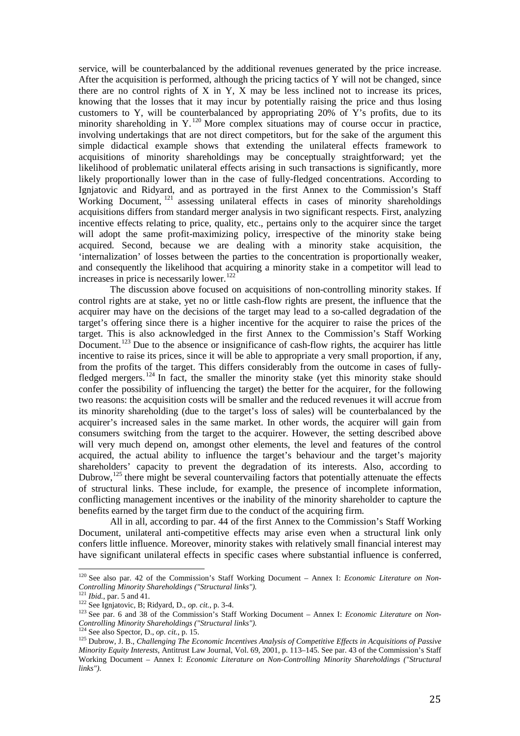service, will be counterbalanced by the additional revenues generated by the price increase. After the acquisition is performed, although the pricing tactics of Y will not be changed, since there are no control rights of X in Y, X may be less inclined not to increase its prices, knowing that the losses that it may incur by potentially raising the price and thus losing customers to Y, will be counterbalanced by appropriating 20% of Y's profits, due to its minority shareholding in  $Y<sup>{120}</sup>$  $Y<sup>{120}</sup>$  $Y<sup>{120}</sup>$  More complex situations may of course occur in practice, involving undertakings that are not direct competitors, but for the sake of the argument this simple didactical example shows that extending the unilateral effects framework to acquisitions of minority shareholdings may be conceptually straightforward; yet the likelihood of problematic unilateral effects arising in such transactions is significantly, more likely proportionally lower than in the case of fully-fledged concentrations. According to Ignjatovic and Ridyard, and as portrayed in the first Annex to the Commission's Staff Working Document, <sup>[121](#page-25-1)</sup> assessing unilateral effects in cases of minority shareholdings acquisitions differs from standard merger analysis in two significant respects. First, analyzing incentive effects relating to price, quality, etc., pertains only to the acquirer since the target will adopt the same profit-maximizing policy, irrespective of the minority stake being acquired. Second, because we are dealing with a minority stake acquisition, the 'internalization' of losses between the parties to the concentration is proportionally weaker, and consequently the likelihood that acquiring a minority stake in a competitor will lead to increases in price is necessarily lower. [122](#page-25-2)

The discussion above focused on acquisitions of non-controlling minority stakes. If control rights are at stake, yet no or little cash-flow rights are present, the influence that the acquirer may have on the decisions of the target may lead to a so-called degradation of the target's offering since there is a higher incentive for the acquirer to raise the prices of the target. This is also acknowledged in the first Annex to the Commission's Staff Working Document.<sup>[123](#page-25-3)</sup> Due to the absence or insignificance of cash-flow rights, the acquirer has little incentive to raise its prices, since it will be able to appropriate a very small proportion, if any, from the profits of the target. This differs considerably from the outcome in cases of fully-fledged mergers.<sup>[124](#page-25-4)</sup> In fact, the smaller the minority stake (yet this minority stake should confer the possibility of influencing the target) the better for the acquirer, for the following two reasons: the acquisition costs will be smaller and the reduced revenues it will accrue from its minority shareholding (due to the target's loss of sales) will be counterbalanced by the acquirer's increased sales in the same market. In other words, the acquirer will gain from consumers switching from the target to the acquirer. However, the setting described above will very much depend on, amongst other elements, the level and features of the control acquired, the actual ability to influence the target's behaviour and the target's majority shareholders' capacity to prevent the degradation of its interests. Also, according to Dubrow,<sup>[125](#page-25-5)</sup> there might be several countervailing factors that potentially attenuate the effects of structural links. These include, for example, the presence of incomplete information, conflicting management incentives or the inability of the minority shareholder to capture the benefits earned by the target firm due to the conduct of the acquiring firm.

All in all, according to par. 44 of the first Annex to the Commission's Staff Working Document, unilateral anti-competitive effects may arise even when a structural link only confers little influence. Moreover, minority stakes with relatively small financial interest may have significant unilateral effects in specific cases where substantial influence is conferred,

<span id="page-25-0"></span><sup>120</sup> See also par. 42 of the Commission's Staff Working Document – Annex I: *Economic Literature on Non- Controlling Minority Shareholdings ("Structural links").*

<span id="page-25-3"></span>

<span id="page-25-2"></span><span id="page-25-1"></span><sup>&</sup>lt;sup>121</sup> *Ibid.*, par. 5 and 41.<br><sup>122</sup> See Ignjatovic, B; Ridyard, D., *op. cit.*, p. 3-4.<br><sup>123</sup> See par. 6 and 38 of the Commission's Staff Working Document – Annex I: *Economic Literature on Non-Controlling Minority Shareholdings ("Structural links").*

<span id="page-25-5"></span><span id="page-25-4"></span><sup>&</sup>lt;sup>125</sup> Dubrow, J. B., *Challenging The Economic Incentives Analysis of Competitive Effects in Acquisitions of Passive Minority Equity Interests*, Antitrust Law Journal, Vol. 69, 2001, p. 113–145. See par. 43 of the Commission's Staff Working Document – Annex I: *Economic Literature on Non-Controlling Minority Shareholdings ("Structural links").*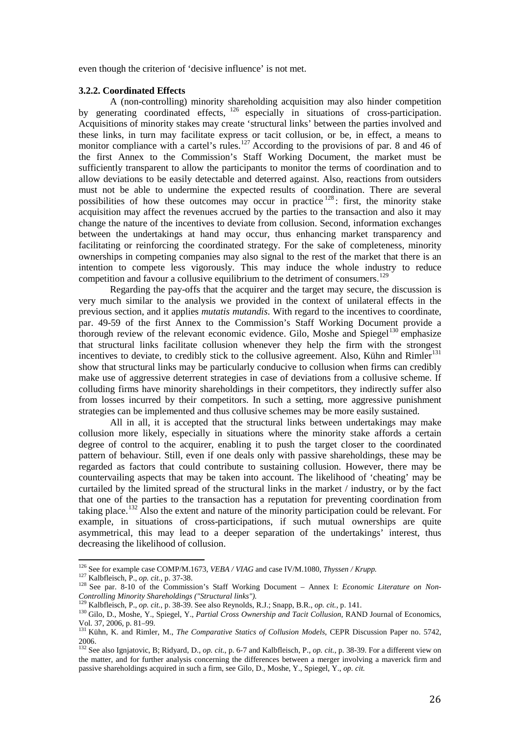even though the criterion of 'decisive influence' is not met.

#### **3.2.2. Coordinated Effects**

A (non-controlling) minority shareholding acquisition may also hinder competition by generating coordinated effects, <sup>[126](#page-26-0)</sup> especially in situations of cross-participation. Acquisitions of minority stakes may create 'structural links' between the parties involved and these links, in turn may facilitate express or tacit collusion, or be, in effect, a means to monitor compliance with a cartel's rules.<sup>[127](#page-26-1)</sup> According to the provisions of par. 8 and 46 of the first Annex to the Commission's Staff Working Document, the market must be sufficiently transparent to allow the participants to monitor the terms of coordination and to allow deviations to be easily detectable and deterred against. Also, reactions from outsiders must not be able to undermine the expected results of coordination. There are several possibilities of how these outcomes may occur in practice  $128$ : first, the minority stake acquisition may affect the revenues accrued by the parties to the transaction and also it may change the nature of the incentives to deviate from collusion. Second, information exchanges between the undertakings at hand may occur, thus enhancing market transparency and facilitating or reinforcing the coordinated strategy. For the sake of completeness, minority ownerships in competing companies may also signal to the rest of the market that there is an intention to compete less vigorously. This may induce the whole industry to reduce competition and favour a collusive equilibrium to the detriment of consumers.<sup>[129](#page-26-3)</sup>

Regarding the pay-offs that the acquirer and the target may secure, the discussion is very much similar to the analysis we provided in the context of unilateral effects in the previous section, and it applies *mutatis mutandis*. With regard to the incentives to coordinate, par. 49-59 of the first Annex to the Commission's Staff Working Document provide a thorough review of the relevant economic evidence. Gilo, Moshe and Spiegel<sup>[130](#page-26-4)</sup> emphasize that structural links facilitate collusion whenever they help the firm with the strongest incentives to deviate, to credibly stick to the collusive agreement. Also, Kühn and Rimler<sup>[131](#page-26-5)</sup> show that structural links may be particularly conducive to collusion when firms can credibly make use of aggressive deterrent strategies in case of deviations from a collusive scheme. If colluding firms have minority shareholdings in their competitors, they indirectly suffer also from losses incurred by their competitors. In such a setting, more aggressive punishment strategies can be implemented and thus collusive schemes may be more easily sustained.

All in all, it is accepted that the structural links between undertakings may make collusion more likely, especially in situations where the minority stake affords a certain degree of control to the acquirer, enabling it to push the target closer to the coordinated pattern of behaviour. Still, even if one deals only with passive shareholdings, these may be regarded as factors that could contribute to sustaining collusion. However, there may be countervailing aspects that may be taken into account. The likelihood of 'cheating' may be curtailed by the limited spread of the structural links in the market / industry, or by the fact that one of the parties to the transaction has a reputation for preventing coordination from taking place.[132](#page-26-6) Also the extent and nature of the minority participation could be relevant. For example, in situations of cross-participations, if such mutual ownerships are quite asymmetrical, this may lead to a deeper separation of the undertakings' interest, thus decreasing the likelihood of collusion.

<span id="page-26-0"></span><sup>&</sup>lt;sup>126</sup> See for example case COMP/M.1673, *VEBA* / *VIAG* and case IV/M.1080, *Thyssen* / *Krupp*.

<span id="page-26-2"></span><span id="page-26-1"></span><sup>&</sup>lt;sup>127</sup> Kalbfleisch, P., op. cit., p. 37-38.<br><sup>128</sup> See par. 8-10 of the Commission's Staff Working Document – Annex I: *Economic Literature on Non-Controlling Minority Shareholdings ("Structural links").*<br><sup>129</sup> Kalbfleisch, P., *op. cit.*, p. 38-39. See also Reynolds, R.J.; Snapp, B.R., *op. cit.*, p. 141.

<span id="page-26-4"></span><span id="page-26-3"></span><sup>&</sup>lt;sup>130</sup> Gilo, D., Moshe, Y., Spiegel, Y., *Partial Cross Ownership and Tacit Collusion*, RAND Journal of Economics, Vol. 37, 2006, p. 81–99.

<span id="page-26-5"></span><sup>&</sup>lt;sup>131</sup> Kühn, K. and Rimler, M., *The Comparative Statics of Collusion Models*, CEPR Discussion Paper no. 5742, 2006.

<span id="page-26-6"></span><sup>132</sup> See also Ignjatovic, B; Ridyard, D., *op. cit.*, p. 6-7 and Kalbfleisch, P., *op. cit.*, p. 38-39. For a different view on the matter, and for further analysis concerning the differences between a merger involving a maverick firm and passive shareholdings acquired in such a firm, see Gilo, D., Moshe, Y., Spiegel, Y., *op. cit.*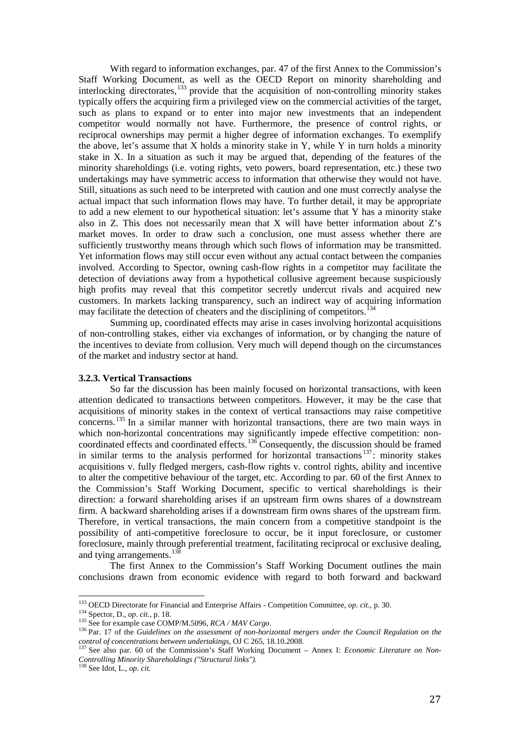With regard to information exchanges, par. 47 of the first Annex to the Commission's Staff Working Document, as well as the OECD Report on minority shareholding and interlocking directorates, [133](#page-27-0) provide that the acquisition of non-controlling minority stakes typically offers the acquiring firm a privileged view on the commercial activities of the target, such as plans to expand or to enter into major new investments that an independent competitor would normally not have. Furthermore, the presence of control rights, or reciprocal ownerships may permit a higher degree of information exchanges. To exemplify the above, let's assume that  $X$  holds a minority stake in  $Y$ , while  $Y$  in turn holds a minority stake in X. In a situation as such it may be argued that, depending of the features of the minority shareholdings (i.e. voting rights, veto powers, board representation, etc.) these two undertakings may have symmetric access to information that otherwise they would not have. Still, situations as such need to be interpreted with caution and one must correctly analyse the actual impact that such information flows may have. To further detail, it may be appropriate to add a new element to our hypothetical situation: let's assume that Y has a minority stake also in Z. This does not necessarily mean that X will have better information about Z's market moves. In order to draw such a conclusion, one must assess whether there are sufficiently trustworthy means through which such flows of information may be transmitted. Yet information flows may still occur even without any actual contact between the companies involved. According to Spector, owning cash-flow rights in a competitor may facilitate the detection of deviations away from a hypothetical collusive agreement because suspiciously high profits may reveal that this competitor secretly undercut rivals and acquired new customers. In markets lacking transparency, such an indirect way of acquiring information may facilitate the detection of cheaters and the disciplining of competitors.<sup>[134](#page-27-1)</sup>

Summing up, coordinated effects may arise in cases involving horizontal acquisitions of non-controlling stakes, either via exchanges of information, or by changing the nature of the incentives to deviate from collusion. Very much will depend though on the circumstances of the market and industry sector at hand.

## **3.2.3. Vertical Transactions**

So far the discussion has been mainly focused on horizontal transactions, with keen attention dedicated to transactions between competitors. However, it may be the case that acquisitions of minority stakes in the context of vertical transactions may raise competitive concerns.[135](#page-27-2) In a similar manner with horizontal transactions, there are two main ways in which non-horizontal concentrations may significantly impede effective competition: noncoordinated effects and coordinated effects.[136](#page-27-3) Consequently, the discussion should be framed in similar terms to the analysis performed for horizontal transactions  $137$ : minority stakes acquisitions v. fully fledged mergers, cash-flow rights v. control rights, ability and incentive to alter the competitive behaviour of the target, etc. According to par. 60 of the first Annex to the Commission's Staff Working Document, specific to vertical shareholdings is their direction: a forward shareholding arises if an upstream firm owns shares of a downstream firm. A backward shareholding arises if a downstream firm owns shares of the upstream firm. Therefore, in vertical transactions, the main concern from a competitive standpoint is the possibility of anti-competitive foreclosure to occur, be it input foreclosure, or customer foreclosure, mainly through preferential treatment, facilitating reciprocal or exclusive dealing, and tying arrangements.<sup>[138](#page-27-5)</sup>

The first Annex to the Commission's Staff Working Document outlines the main conclusions drawn from economic evidence with regard to both forward and backward

<span id="page-27-0"></span> $^{133}$  OECD Directorate for Financial and Enterprise Affairs - Competition Committee, op. cit., p. 30.

<span id="page-27-3"></span><span id="page-27-2"></span>

<span id="page-27-1"></span><sup>&</sup>lt;sup>134</sup> Spector, D., *op. cit.*, p. 18.<br><sup>135</sup> See for example case COMP/M.5096, *RCA / MAV Cargo.*<br><sup>136</sup> Par. 17 of the *Guidelines on the assessment of non-horizontal mergers under the Council Regulation on the control of concentrations between undertakings*, OJ C 265, 18.10.2008.<br><sup>137</sup> See also par. 60 of the Commission's Staff Working Document – Annex I: *Economic Literature on Non-*

<span id="page-27-4"></span>*Controlling Minority Shareholdings ("Structural links").*

<span id="page-27-5"></span><sup>138</sup> See Idot, L., *op. cit.*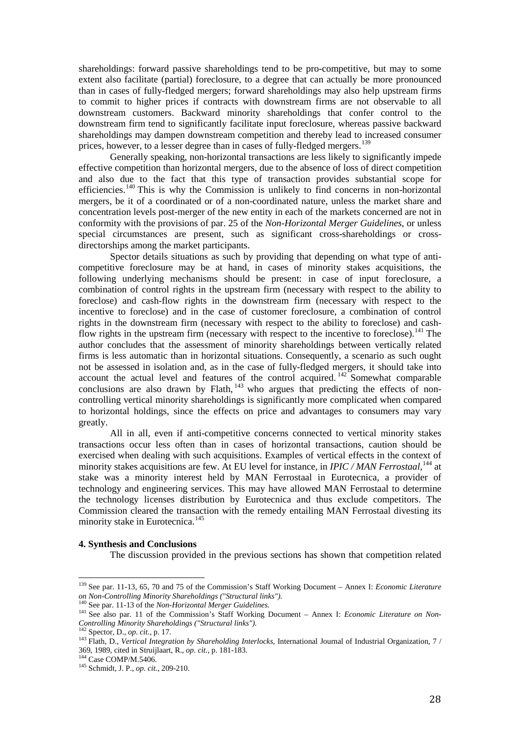shareholdings: forward passive shareholdings tend to be pro-competitive, but may to some extent also facilitate (partial) foreclosure, to a degree that can actually be more pronounced than in cases of fully-fledged mergers; forward shareholdings may also help upstream firms to commit to higher prices if contracts with downstream firms are not observable to all downstream customers. Backward minority shareholdings that confer control to the downstream firm tend to significantly facilitate input foreclosure, whereas passive backward shareholdings may dampen downstream competition and thereby lead to increased consumer prices, however, to a lesser degree than in cases of fully-fledged mergers.<sup>[139](#page-28-0)</sup>

Generally speaking, non-horizontal transactions are less likely to significantly impede effective competition than horizontal mergers, due to the absence of loss of direct competition and also due to the fact that this type of transaction provides substantial scope for efficiencies.<sup>[140](#page-28-1)</sup> This is why the Commission is unlikely to find concerns in non-horizontal mergers, be it of a coordinated or of a non-coordinated nature, unless the market share and concentration levels post-merger of the new entity in each of the markets concerned are not in conformity with the provisions of par. 25 of the *Non-Horizontal Merger Guidelines*, or unless special circumstances are present, such as significant cross-shareholdings or crossdirectorships among the market participants.

Spector details situations as such by providing that depending on what type of anticompetitive foreclosure may be at hand, in cases of minority stakes acquisitions, the following underlying mechanisms should be present: in case of input foreclosure, a combination of control rights in the upstream firm (necessary with respect to the ability to foreclose) and cash-flow rights in the downstream firm (necessary with respect to the incentive to foreclose) and in the case of customer foreclosure, a combination of control rights in the downstream firm (necessary with respect to the ability to foreclose) and cash-flow rights in the upstream firm (necessary with respect to the incentive to foreclose).<sup>[141](#page-28-2)</sup> The author concludes that the assessment of minority shareholdings between vertically related firms is less automatic than in horizontal situations. Consequently, a scenario as such ought not be assessed in isolation and, as in the case of fully-fledged mergers, it should take into account the actual level and features of the control acquired. <sup>[142](#page-28-3)</sup> Somewhat comparable conclusions are also drawn by Flath,  $143$  who argues that predicting the effects of noncontrolling vertical minority shareholdings is significantly more complicated when compared to horizontal holdings, since the effects on price and advantages to consumers may vary greatly.

All in all, even if anti-competitive concerns connected to vertical minority stakes transactions occur less often than in cases of horizontal transactions, caution should be exercised when dealing with such acquisitions. Examples of vertical effects in the context of minority stakes acquisitions are few. At EU level for instance, in *IPIC / MAN Ferrostaal*,<sup>[144](#page-28-5)</sup> at stake was a minority interest held by MAN Ferrostaal in Eurotecnica, a provider of technology and engineering services. This may have allowed MAN Ferrostaal to determine the technology licenses distribution by Eurotecnica and thus exclude competitors. The Commission cleared the transaction with the remedy entailing MAN Ferrostaal divesting its minority stake in Eurotecnica.<sup>[145](#page-28-6)</sup>

#### **4. Synthesis and Conclusions**

The discussion provided in the previous sections has shown that competition related

<span id="page-28-0"></span><sup>139</sup> See par. 11-13, 65, 70 and 75 of the Commission's Staff Working Document – Annex I: *Economic Literature*  on Non-Controlling Minority Shareholdings ("Structural links").<br><sup>140</sup> See par. 11-13 of the Non-Horizontal Merger Guidelines.<br><sup>141</sup> See also par. 11 of the Commission's Staff Working Document – Annex I: *Economic Literatur* 

<span id="page-28-2"></span><span id="page-28-1"></span>*Controlling Minority Shareholdings ("Structural links").*

<span id="page-28-4"></span><span id="page-28-3"></span><sup>142</sup> Spector, D., *op. cit.*, p. 17. <sup>143</sup> Flath, D., *Vertical Integration by Shareholding Interlocks*, International Journal of Industrial Organization*,* 7 / 369, 1989, cited in Struijlaart, R., *op. cit.*, p. 181-183. <sup>144</sup> Case COMP/M.5406. <sup>145</sup> Schmidt, J. P., *op. cit.*, 209-210.

<span id="page-28-5"></span>

<span id="page-28-6"></span>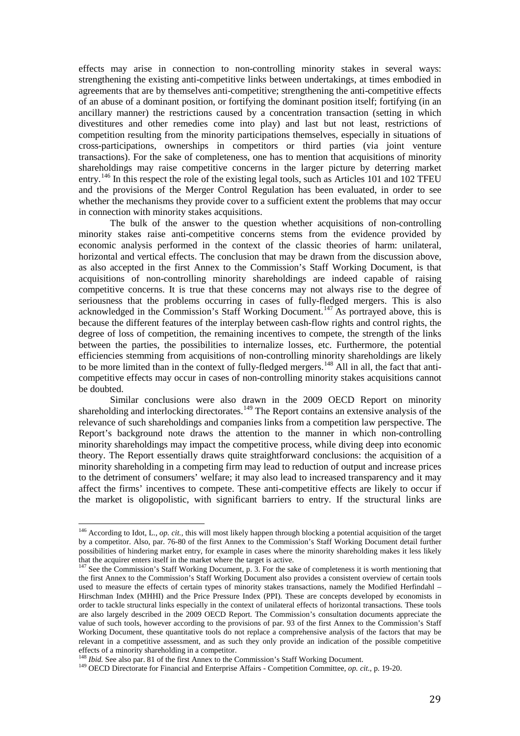effects may arise in connection to non-controlling minority stakes in several ways: strengthening the existing anti-competitive links between undertakings, at times embodied in agreements that are by themselves anti-competitive; strengthening the anti-competitive effects of an abuse of a dominant position, or fortifying the dominant position itself; fortifying (in an ancillary manner) the restrictions caused by a concentration transaction (setting in which divestitures and other remedies come into play) and last but not least, restrictions of competition resulting from the minority participations themselves, especially in situations of cross-participations, ownerships in competitors or third parties (via joint venture transactions). For the sake of completeness, one has to mention that acquisitions of minority shareholdings may raise competitive concerns in the larger picture by deterring market entry.<sup>[146](#page-29-0)</sup> In this respect the role of the existing legal tools, such as Articles 101 and 102 TFEU and the provisions of the Merger Control Regulation has been evaluated, in order to see whether the mechanisms they provide cover to a sufficient extent the problems that may occur in connection with minority stakes acquisitions.

The bulk of the answer to the question whether acquisitions of non-controlling minority stakes raise anti-competitive concerns stems from the evidence provided by economic analysis performed in the context of the classic theories of harm: unilateral, horizontal and vertical effects. The conclusion that may be drawn from the discussion above, as also accepted in the first Annex to the Commission's Staff Working Document, is that acquisitions of non-controlling minority shareholdings are indeed capable of raising competitive concerns. It is true that these concerns may not always rise to the degree of seriousness that the problems occurring in cases of fully-fledged mergers. This is also acknowledged in the Commission's Staff Working Document.<sup>[147](#page-29-1)</sup> As portrayed above, this is because the different features of the interplay between cash-flow rights and control rights, the degree of loss of competition, the remaining incentives to compete, the strength of the links between the parties, the possibilities to internalize losses, etc. Furthermore, the potential efficiencies stemming from acquisitions of non-controlling minority shareholdings are likely to be more limited than in the context of fully-fledged mergers.<sup>[148](#page-29-2)</sup> All in all, the fact that anticompetitive effects may occur in cases of non-controlling minority stakes acquisitions cannot be doubted.

Similar conclusions were also drawn in the 2009 OECD Report on minority shareholding and interlocking directorates.<sup>[149](#page-29-3)</sup> The Report contains an extensive analysis of the relevance of such shareholdings and companies links from a competition law perspective. The Report's background note draws the attention to the manner in which non-controlling minority shareholdings may impact the competitive process, while diving deep into economic theory. The Report essentially draws quite straightforward conclusions: the acquisition of a minority shareholding in a competing firm may lead to reduction of output and increase prices to the detriment of consumers' welfare; it may also lead to increased transparency and it may affect the firms' incentives to compete. These anti-competitive effects are likely to occur if the market is oligopolistic, with significant barriers to entry. If the structural links are

<span id="page-29-0"></span><sup>146</sup> According to Idot, L., *op. cit.,* this will most likely happen through blocking a potential acquisition of the target by a competitor. Also, par. 76-80 of the first Annex to the Commission's Staff Working Document detail further possibilities of hindering market entry, for example in cases where the minority shareholding makes it less likely

<span id="page-29-1"></span> $\frac{147}{147}$  See the Commission's Staff Working Document, p. 3. For the sake of completeness it is worth mentioning that the first Annex to the Commission's Staff Working Document also provides a consistent overview of certain tools used to measure the effects of certain types of minority stakes transactions, namely the Modified Herfindahl – Hirschman Index (MHHI) and the Price Pressure Index (PPI). These are concepts developed by economists in order to tackle structural links especially in the context of unilateral effects of horizontal transactions. These tools are also largely described in the 2009 OECD Report. The Commission's consultation documents appreciate the value of such tools, however according to the provisions of par. 93 of the first Annex to the Commission's Staff Working Document, these quantitative tools do not replace a comprehensive analysis of the factors that may be relevant in a competitive assessment, and as such they only provide an indication of the possible competitive effects of a minority shareholding in a competitor.<br><sup>148</sup> *Ibid*. See also par. 81 of the first Annex to the Commission's Staff Working Document.

<span id="page-29-2"></span>

<span id="page-29-3"></span><sup>&</sup>lt;sup>149</sup> OECD Directorate for Financial and Enterprise Affairs - Competition Committee, *op. cit.*, p. 19-20.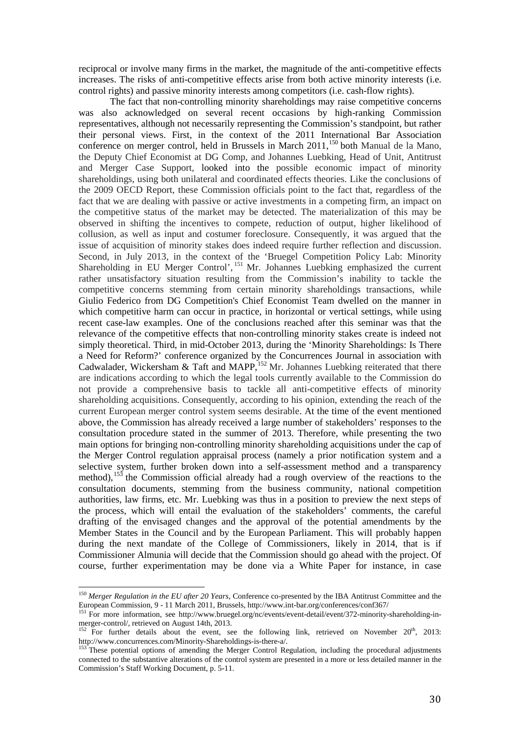reciprocal or involve many firms in the market, the magnitude of the anti-competitive effects increases. The risks of anti-competitive effects arise from both active minority interests (i.e. control rights) and passive minority interests among competitors (i.e. cash-flow rights).

The fact that non-controlling minority shareholdings may raise competitive concerns was also acknowledged on several recent occasions by high-ranking Commission representatives, although not necessarily representing the Commission's standpoint, but rather their personal views. First, in the context of the 2011 International Bar Association conference on merger control, held in Brussels in March 2011,<sup>[150](#page-30-0)</sup> both Manual de la Mano, the Deputy Chief Economist at DG Comp, and Johannes Luebking, Head of Unit, Antitrust and Merger Case Support, looked into the possible economic impact of minority shareholdings, using both unilateral and coordinated effects theories. Like the conclusions of the 2009 OECD Report, these Commission officials point to the fact that, regardless of the fact that we are dealing with passive or active investments in a competing firm, an impact on the competitive status of the market may be detected. The materialization of this may be observed in shifting the incentives to compete, reduction of output, higher likelihood of collusion, as well as input and costumer foreclosure. Consequently, it was argued that the issue of acquisition of minority stakes does indeed require further reflection and discussion. Second, in July 2013, in the context of the 'Bruegel Competition Policy Lab: Minority Shareholding in EU Merger Control', <sup>[151](#page-30-1)</sup> Mr. Johannes Luebking emphasized the current rather unsatisfactory situation resulting from the Commission's inability to tackle the competitive concerns stemming from certain minority shareholdings transactions, while Giulio Federico from DG Competition's Chief Economist Team dwelled on the manner in which competitive harm can occur in practice, in horizontal or vertical settings, while using recent case-law examples. One of the conclusions reached after this seminar was that the relevance of the competitive effects that non-controlling minority stakes create is indeed not simply theoretical. Third, in mid-October 2013, during the 'Minority Shareholdings: Is There a Need for Reform?' conference organized by the Concurrences Journal in association with Cadwalader, Wickersham & Taft and MAPP,  $152$  Mr. Johannes Luebking reiterated that there are indications according to which the legal tools currently available to the Commission do not provide a comprehensive basis to tackle all anti-competitive effects of minority shareholding acquisitions. Consequently, according to his opinion, extending the reach of the current European merger control system seems desirable. At the time of the event mentioned above, the Commission has already received a large number of stakeholders' responses to the consultation procedure stated in the summer of 2013. Therefore, while presenting the two main options for bringing non-controlling minority shareholding acquisitions under the cap of the Merger Control regulation appraisal process (namely a prior notification system and a selective system, further broken down into a self-assessment method and a transparency method),  $153$  the Commission official already had a rough overview of the reactions to the consultation documents, stemming from the business community, national competition authorities, law firms, etc. Mr. Luebking was thus in a position to preview the next steps of the process, which will entail the evaluation of the stakeholders' comments, the careful drafting of the envisaged changes and the approval of the potential amendments by the Member States in the Council and by the European Parliament. This will probably happen during the next mandate of the College of Commissioners, likely in 2014, that is if Commissioner Almunia will decide that the Commission should go ahead with the project. Of course, further experimentation may be done via a White Paper for instance, in case

<span id="page-30-0"></span><sup>150</sup> *Merger Regulation in the EU after 20 Years*, Conference co-presented by the IBA Antitrust Committee and the European Commission, 9 - 11 March 2011, Brussels, http://www.int-bar.org/conferences/conf367/<br><sup>151</sup> For more information, see [http://www.bruegel.org/nc/events/event-detail/event/372-minority-shareholding-in-](http://www.bruegel.org/nc/events/event-detail/event/372-minority-shareholding-in-merger-control/)

<span id="page-30-2"></span><span id="page-30-1"></span>[merger-control/,](http://www.bruegel.org/nc/events/event-detail/event/372-minority-shareholding-in-merger-control/) retrieved on August 14th, 2013.<br><sup>152</sup> For further details about the event, see the following link, retrieved on November 20<sup>th</sup>, 2013:<br>http://www.concurrences.com/Minority-Shareholdings-is-there-a/.

<span id="page-30-3"></span> $153$  These potential options of amending the Merger Control Regulation, including the procedural adjustments connected to the substantive alterations of the control system are presented in a more or less detailed manner in the Commission's Staff Working Document, p. 5-11.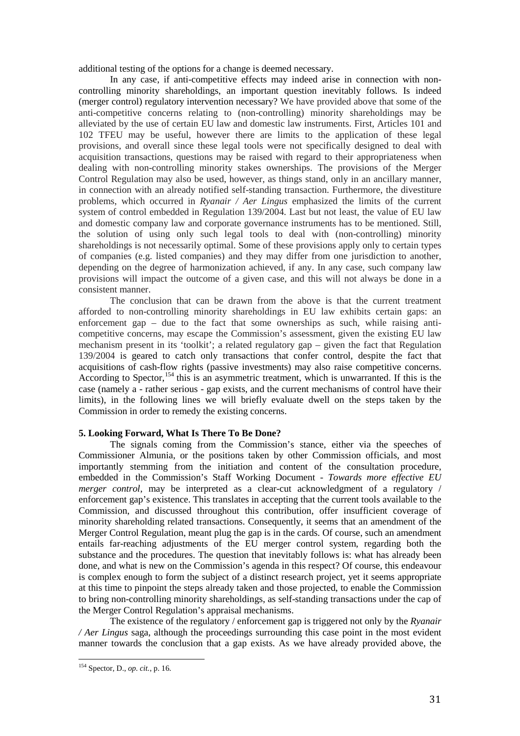additional testing of the options for a change is deemed necessary.

In any case, if anti-competitive effects may indeed arise in connection with noncontrolling minority shareholdings, an important question inevitably follows. Is indeed (merger control) regulatory intervention necessary? We have provided above that some of the anti-competitive concerns relating to (non-controlling) minority shareholdings may be alleviated by the use of certain EU law and domestic law instruments. First, Articles 101 and 102 TFEU may be useful, however there are limits to the application of these legal provisions, and overall since these legal tools were not specifically designed to deal with acquisition transactions, questions may be raised with regard to their appropriateness when dealing with non-controlling minority stakes ownerships. The provisions of the Merger Control Regulation may also be used, however, as things stand, only in an ancillary manner, in connection with an already notified self-standing transaction. Furthermore, the divestiture problems, which occurred in *Ryanair / Aer Lingus* emphasized the limits of the current system of control embedded in Regulation 139/2004. Last but not least, the value of EU law and domestic company law and corporate governance instruments has to be mentioned. Still, the solution of using only such legal tools to deal with (non-controlling) minority shareholdings is not necessarily optimal. Some of these provisions apply only to certain types of companies (e.g. listed companies) and they may differ from one jurisdiction to another, depending on the degree of harmonization achieved, if any. In any case, such company law provisions will impact the outcome of a given case, and this will not always be done in a consistent manner.

The conclusion that can be drawn from the above is that the current treatment afforded to non-controlling minority shareholdings in EU law exhibits certain gaps: an enforcement gap – due to the fact that some ownerships as such, while raising anticompetitive concerns, may escape the Commission's assessment, given the existing EU law mechanism present in its 'toolkit'; a related regulatory gap – given the fact that Regulation 139/2004 is geared to catch only transactions that confer control, despite the fact that acquisitions of cash-flow rights (passive investments) may also raise competitive concerns. According to Spector,<sup>[154](#page-31-0)</sup> this is an asymmetric treatment, which is unwarranted. If this is the case (namely a - rather serious - gap exists, and the current mechanisms of control have their limits), in the following lines we will briefly evaluate dwell on the steps taken by the Commission in order to remedy the existing concerns.

#### **5. Looking Forward, What Is There To Be Done?**

The signals coming from the Commission's stance, either via the speeches of Commissioner Almunia, or the positions taken by other Commission officials, and most importantly stemming from the initiation and content of the consultation procedure, embedded in the Commission's Staff Working Document - *Towards more effective EU merger control*, may be interpreted as a clear-cut acknowledgment of a regulatory / enforcement gap's existence. This translates in accepting that the current tools available to the Commission, and discussed throughout this contribution, offer insufficient coverage of minority shareholding related transactions. Consequently, it seems that an amendment of the Merger Control Regulation, meant plug the gap is in the cards. Of course, such an amendment entails far-reaching adjustments of the EU merger control system, regarding both the substance and the procedures. The question that inevitably follows is: what has already been done, and what is new on the Commission's agenda in this respect? Of course, this endeavour is complex enough to form the subject of a distinct research project, yet it seems appropriate at this time to pinpoint the steps already taken and those projected, to enable the Commission to bring non-controlling minority shareholdings, as self-standing transactions under the cap of the Merger Control Regulation's appraisal mechanisms.

The existence of the regulatory / enforcement gap is triggered not only by the *Ryanair / Aer Lingus* saga, although the proceedings surrounding this case point in the most evident manner towards the conclusion that a gap exists. As we have already provided above, the

<span id="page-31-0"></span><sup>154</sup> Spector, D., *op. cit.*, p. 16.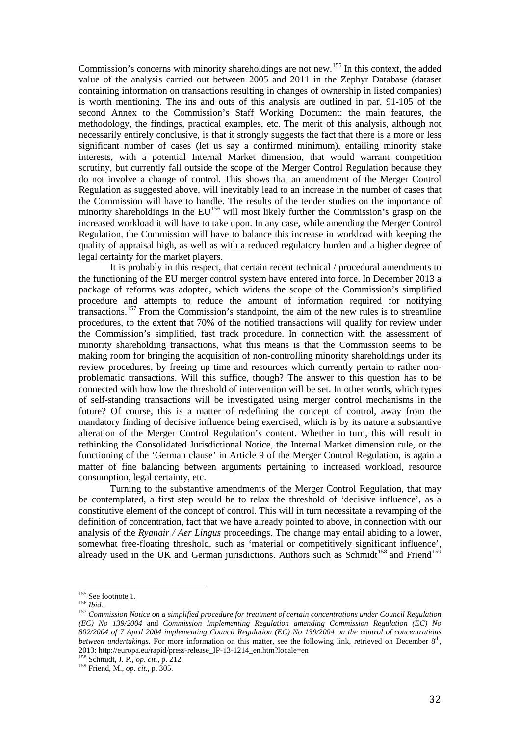Commission's concerns with minority shareholdings are not new.<sup>[155](#page-32-0)</sup> In this context, the added value of the analysis carried out between 2005 and 2011 in the Zephyr Database (dataset containing information on transactions resulting in changes of ownership in listed companies) is worth mentioning. The ins and outs of this analysis are outlined in par. 91-105 of the second Annex to the Commission's Staff Working Document: the main features, the methodology, the findings, practical examples, etc. The merit of this analysis, although not necessarily entirely conclusive, is that it strongly suggests the fact that there is a more or less significant number of cases (let us say a confirmed minimum), entailing minority stake interests, with a potential Internal Market dimension, that would warrant competition scrutiny, but currently fall outside the scope of the Merger Control Regulation because they do not involve a change of control. This shows that an amendment of the Merger Control Regulation as suggested above, will inevitably lead to an increase in the number of cases that the Commission will have to handle. The results of the tender studies on the importance of minority shareholdings in the  $EU^{156}$  $EU^{156}$  $EU^{156}$  will most likely further the Commission's grasp on the increased workload it will have to take upon. In any case, while amending the Merger Control Regulation, the Commission will have to balance this increase in workload with keeping the quality of appraisal high, as well as with a reduced regulatory burden and a higher degree of legal certainty for the market players.

It is probably in this respect, that certain recent technical / procedural amendments to the functioning of the EU merger control system have entered into force. In December 2013 a package of reforms was adopted, which widens the scope of the Commission's simplified procedure and attempts to reduce the amount of information required for notifying transactions.[157](#page-32-2) From the Commission's standpoint, the aim of the new rules is to streamline procedures, to the extent that 70% of the notified transactions will qualify for review under the Commission's simplified, fast track procedure. In connection with the assessment of minority shareholding transactions, what this means is that the Commission seems to be making room for bringing the acquisition of non-controlling minority shareholdings under its review procedures, by freeing up time and resources which currently pertain to rather nonproblematic transactions. Will this suffice, though? The answer to this question has to be connected with how low the threshold of intervention will be set. In other words, which types of self-standing transactions will be investigated using merger control mechanisms in the future? Of course, this is a matter of redefining the concept of control, away from the mandatory finding of decisive influence being exercised, which is by its nature a substantive alteration of the Merger Control Regulation's content. Whether in turn, this will result in rethinking the Consolidated Jurisdictional Notice, the Internal Market dimension rule, or the functioning of the 'German clause' in Article 9 of the Merger Control Regulation, is again a matter of fine balancing between arguments pertaining to increased workload, resource consumption, legal certainty, etc.

Turning to the substantive amendments of the Merger Control Regulation, that may be contemplated, a first step would be to relax the threshold of 'decisive influence', as a constitutive element of the concept of control. This will in turn necessitate a revamping of the definition of concentration, fact that we have already pointed to above, in connection with our analysis of the *Ryanair / Aer Lingus* proceedings. The change may entail abiding to a lower, somewhat free-floating threshold, such as 'material or competitively significant influence', already used in the UK and German jurisdictions. Authors such as Schmidt<sup>[158](#page-32-3)</sup> and Friend<sup>[159](#page-32-4)</sup>

<span id="page-32-0"></span> $^{155}$  See footnote 1.

<span id="page-32-2"></span><span id="page-32-1"></span><sup>155</sup> See footnote 1. <sup>156</sup> *Ibid.* <sup>157</sup> *Commission Notice on a simplified procedure for treatment of certain concentrations under Council Regulation (EC) No 139/2004* and *Commission Implementing Regulation amending Commission Regulation (EC) No 802/2004 of 7 April 2004 implementing Council Regulation (EC) No 139/2004 on the control of concentrations between undertakings*. For more information on this matter, see the following link, retrieved on December 8<sup>th</sup>, 2013: http://europa.eu/rapid/press-release\_IP-13-1214\_en.htm?locale=en <sup>158</sup> Schmidt, J. P., *op. cit.*, p. 212. <sup>159</sup> Friend, M., *op. cit.*, p. 305.

<span id="page-32-4"></span><span id="page-32-3"></span>